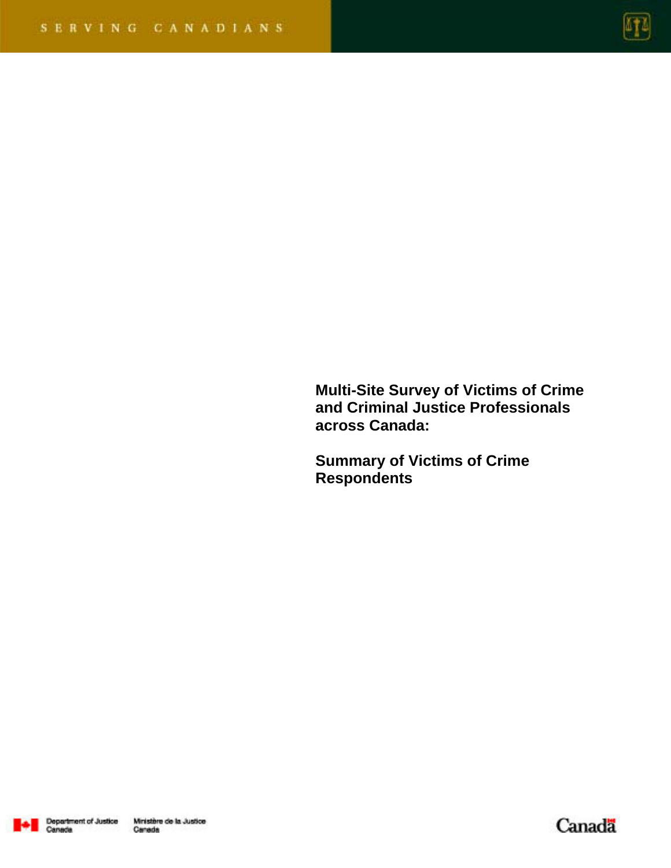

**Multi-Site Survey of Victims of Crime and Criminal Justice Professionals across Canada:** 

**Summary of Victims of Crime Respondents** 



Canada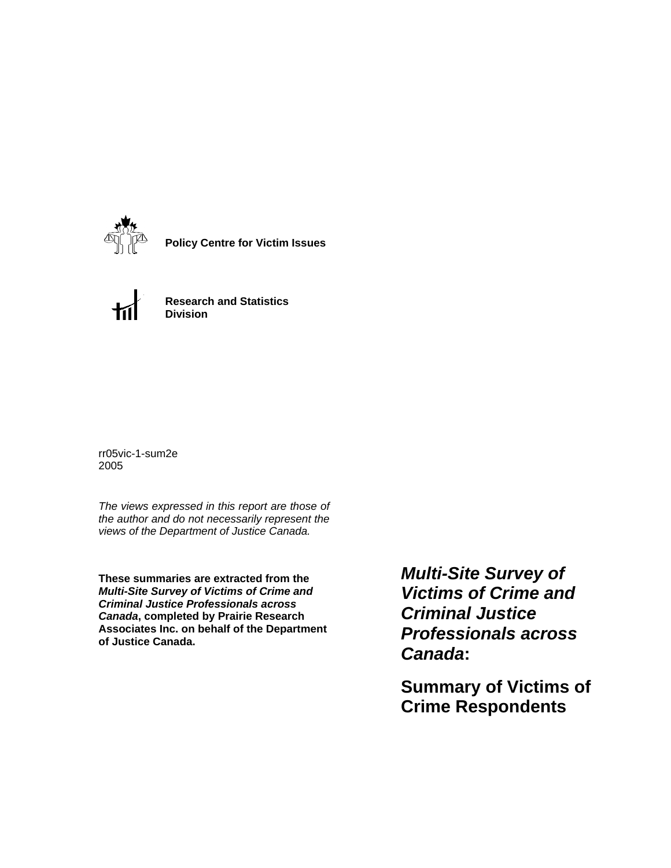

**Policy Centre for Victim Issues**



**Research and Statistics Division**

rr05vic-1-sum2e 2005

*The views expressed in this report are those of the author and do not necessarily represent the views of the Department of Justice Canada.*

**These summaries are extracted from the**  *Multi-Site Survey of Victims of Crime and Criminal Justice Professionals across Canada***, completed by Prairie Research Associates Inc. on behalf of the Department of Justice Canada.**

*Multi-Site Survey of Victims of Crime and Criminal Justice Professionals across Canada***:** 

**Summary of Victims of Crime Respondents**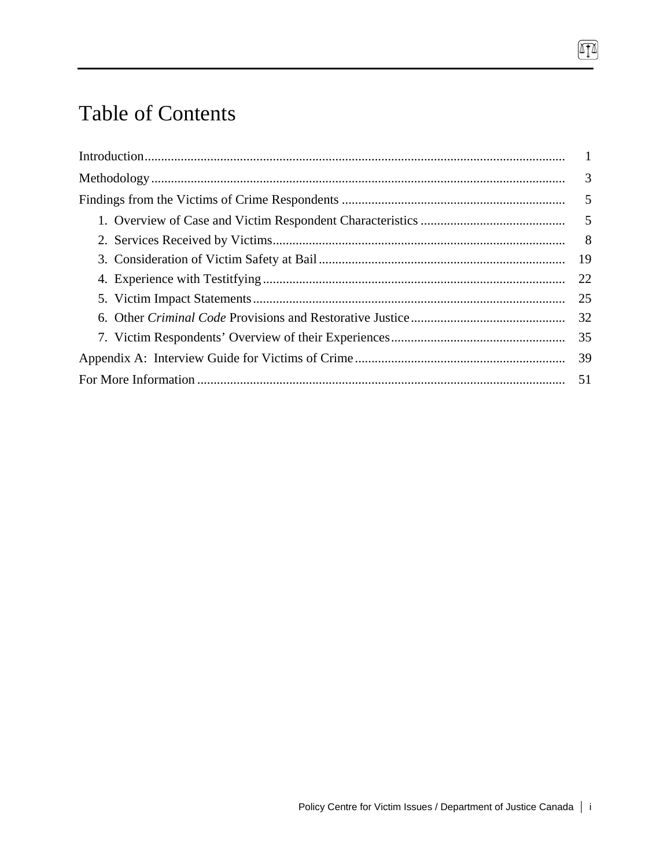# Table of Contents

| 8 <sup>8</sup> |
|----------------|
|                |
| 22             |
| 25             |
| 32             |
|                |
|                |
|                |

 $\boxed{\blacksquare}$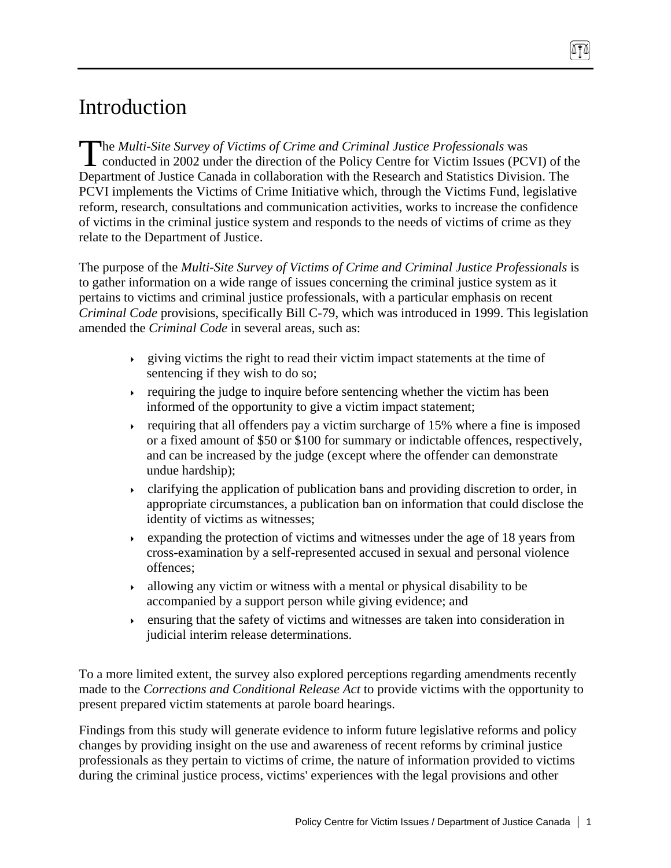# Introduction

he *Multi-Site Survey of Victims of Crime and Criminal Justice Professionals* was The Multi-Site Survey of Victims of Crime and Criminal Justice Professionals was<br>conducted in 2002 under the direction of the Policy Centre for Victim Issues (PCVI) of the Department of Justice Canada in collaboration with the Research and Statistics Division. The PCVI implements the Victims of Crime Initiative which, through the Victims Fund, legislative reform, research, consultations and communication activities, works to increase the confidence of victims in the criminal justice system and responds to the needs of victims of crime as they relate to the Department of Justice.

The purpose of the *Multi-Site Survey of Victims of Crime and Criminal Justice Professionals* is to gather information on a wide range of issues concerning the criminal justice system as it pertains to victims and criminal justice professionals, with a particular emphasis on recent *Criminal Code* provisions, specifically Bill C-79, which was introduced in 1999. This legislation amended the *Criminal Code* in several areas, such as:

- $\rightarrow$  giving victims the right to read their victim impact statements at the time of sentencing if they wish to do so;
- requiring the judge to inquire before sentencing whether the victim has been informed of the opportunity to give a victim impact statement;
- requiring that all offenders pay a victim surcharge of 15% where a fine is imposed or a fixed amount of \$50 or \$100 for summary or indictable offences, respectively, and can be increased by the judge (except where the offender can demonstrate undue hardship);
- clarifying the application of publication bans and providing discretion to order, in appropriate circumstances, a publication ban on information that could disclose the identity of victims as witnesses;
- Expanding the protection of victims and witnesses under the age of 18 years from cross-examination by a self-represented accused in sexual and personal violence offences;
- $\rightarrow$  allowing any victim or witness with a mental or physical disability to be accompanied by a support person while giving evidence; and
- ensuring that the safety of victims and witnesses are taken into consideration in judicial interim release determinations.

To a more limited extent, the survey also explored perceptions regarding amendments recently made to the *Corrections and Conditional Release Act* to provide victims with the opportunity to present prepared victim statements at parole board hearings.

Findings from this study will generate evidence to inform future legislative reforms and policy changes by providing insight on the use and awareness of recent reforms by criminal justice professionals as they pertain to victims of crime, the nature of information provided to victims during the criminal justice process, victims' experiences with the legal provisions and other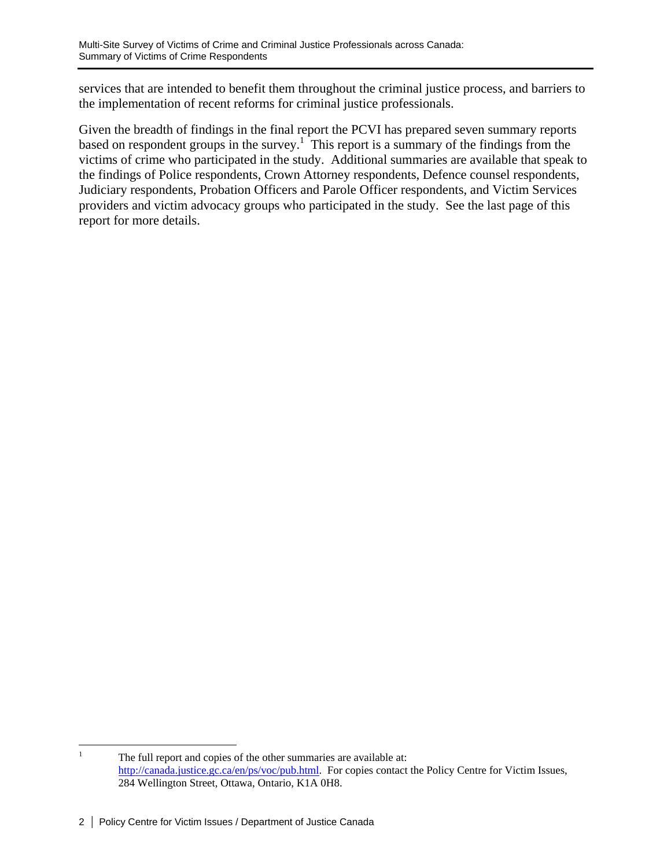services that are intended to benefit them throughout the criminal justice process, and barriers to the implementation of recent reforms for criminal justice professionals.

Given the breadth of findings in the final report the PCVI has prepared seven summary reports based on respondent groups in the survey.<sup>1</sup> This report is a summary of the findings from the victims of crime who participated in the study. Additional summaries are available that speak to the findings of Police respondents, Crown Attorney respondents, Defence counsel respondents, Judiciary respondents, Probation Officers and Parole Officer respondents, and Victim Services providers and victim advocacy groups who participated in the study. See the last page of this report for more details.

 $\frac{1}{1}$  The full report and copies of the other summaries are available at: http://canada.justice.gc.ca/en/ps/voc/pub.html. For copies contact the Policy Centre for Victim Issues, 284 Wellington Street, Ottawa, Ontario, K1A 0H8.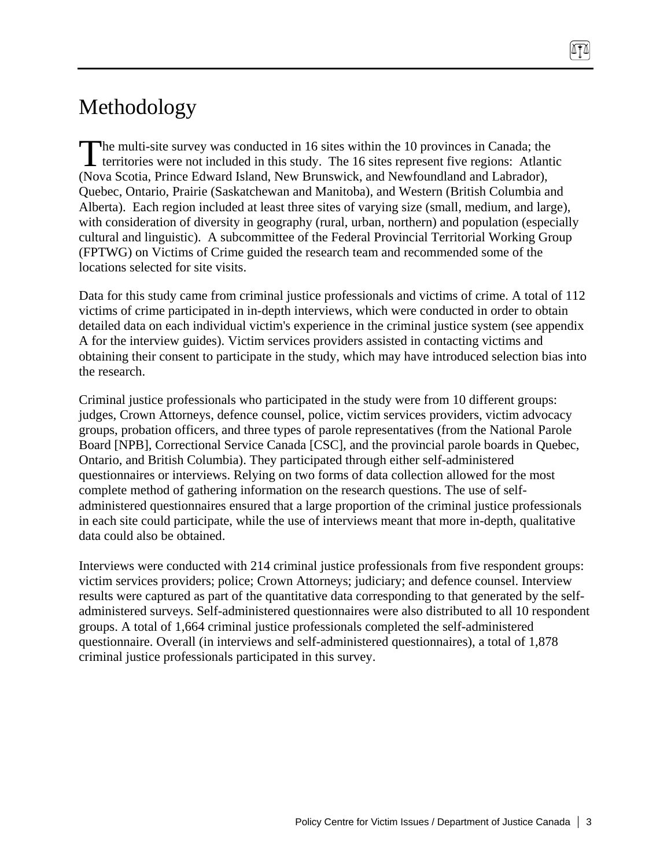# Methodology

The multi-site survey was conducted in 16 sites within the 10 provinces in Canada; the The multi-site survey was conducted in 16 sites within the 10 provinces in Canada; the territories were not included in this study. The 16 sites represent five regions: Atlantic (Nova Scotia, Prince Edward Island, New Brunswick, and Newfoundland and Labrador), Quebec, Ontario, Prairie (Saskatchewan and Manitoba), and Western (British Columbia and Alberta). Each region included at least three sites of varying size (small, medium, and large), with consideration of diversity in geography (rural, urban, northern) and population (especially cultural and linguistic). A subcommittee of the Federal Provincial Territorial Working Group (FPTWG) on Victims of Crime guided the research team and recommended some of the locations selected for site visits.

Data for this study came from criminal justice professionals and victims of crime. A total of 112 victims of crime participated in in-depth interviews, which were conducted in order to obtain detailed data on each individual victim's experience in the criminal justice system (see appendix A for the interview guides). Victim services providers assisted in contacting victims and obtaining their consent to participate in the study, which may have introduced selection bias into the research.

Criminal justice professionals who participated in the study were from 10 different groups: judges, Crown Attorneys, defence counsel, police, victim services providers, victim advocacy groups, probation officers, and three types of parole representatives (from the National Parole Board [NPB], Correctional Service Canada [CSC], and the provincial parole boards in Quebec, Ontario, and British Columbia). They participated through either self-administered questionnaires or interviews. Relying on two forms of data collection allowed for the most complete method of gathering information on the research questions. The use of selfadministered questionnaires ensured that a large proportion of the criminal justice professionals in each site could participate, while the use of interviews meant that more in-depth, qualitative data could also be obtained.

Interviews were conducted with 214 criminal justice professionals from five respondent groups: victim services providers; police; Crown Attorneys; judiciary; and defence counsel. Interview results were captured as part of the quantitative data corresponding to that generated by the selfadministered surveys. Self-administered questionnaires were also distributed to all 10 respondent groups. A total of 1,664 criminal justice professionals completed the self-administered questionnaire. Overall (in interviews and self-administered questionnaires), a total of 1,878 criminal justice professionals participated in this survey.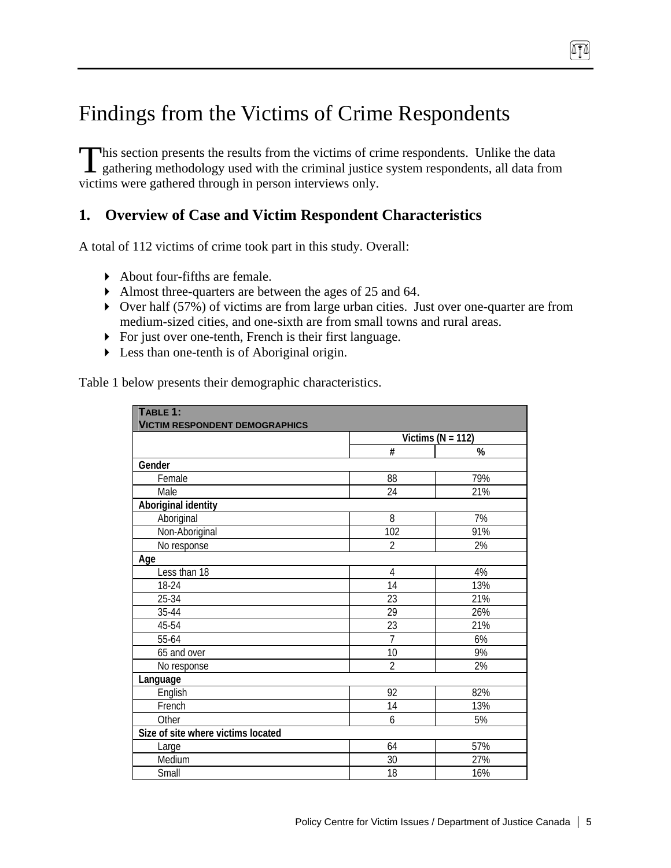# Findings from the Victims of Crime Respondents

his section presents the results from the victims of crime respondents. Unlike the data gathering methodology used with the criminal justice system respondents, all data from victims were gathered through in person interviews only.  $\prod_{g_i}$ 

# **1. Overview of Case and Victim Respondent Characteristics**

A total of 112 victims of crime took part in this study. Overall:

- About four-fifths are female.
- Almost three-quarters are between the ages of 25 and 64.
- Over half (57%) of victims are from large urban cities. Just over one-quarter are from medium-sized cities, and one-sixth are from small towns and rural areas.
- For just over one-tenth, French is their first language.
- Less than one-tenth is of Aboriginal origin.

Table 1 below presents their demographic characteristics.

| TABLE 1:<br><b>VICTIM RESPONDENT DEMOGRAPHICS</b> |                |                       |
|---------------------------------------------------|----------------|-----------------------|
|                                                   |                | Victims ( $N = 112$ ) |
|                                                   | #              | %                     |
| Gender                                            |                |                       |
| Female                                            | 88             | 79%                   |
| Male                                              | 24             | 21%                   |
| Aboriginal identity                               |                |                       |
| Aboriginal                                        | 8              | 7%                    |
| Non-Aboriginal                                    | 102            | 91%                   |
| No response                                       | $\overline{2}$ | 2%                    |
| Age                                               |                |                       |
| Less than 18                                      | $\overline{4}$ | 4%                    |
| 18-24                                             | 14             | 13%                   |
| 25-34                                             | 23             | 21%                   |
| 35-44                                             | 29             | 26%                   |
| 45-54                                             | 23             | 21%                   |
| 55-64                                             | $\overline{7}$ | 6%                    |
| 65 and over                                       | 10             | 9%                    |
| No response                                       | $\overline{2}$ | 2%                    |
| Language                                          |                |                       |
| English                                           | 92             | 82%                   |
| French                                            | 14             | 13%                   |
| Other                                             | 6              | 5%                    |
| Size of site where victims located                |                |                       |
| Large                                             | 64             | 57%                   |
| Medium                                            | 30             | 27%                   |
| Small                                             | 18             | 16%                   |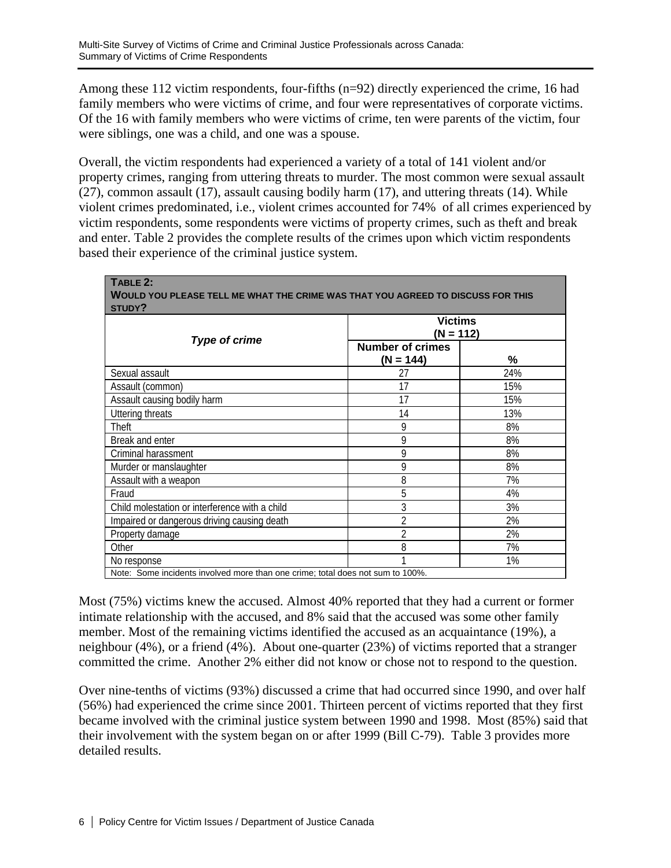Among these 112 victim respondents, four-fifths (n=92) directly experienced the crime, 16 had family members who were victims of crime, and four were representatives of corporate victims. Of the 16 with family members who were victims of crime, ten were parents of the victim, four were siblings, one was a child, and one was a spouse.

Overall, the victim respondents had experienced a variety of a total of 141 violent and/or property crimes, ranging from uttering threats to murder. The most common were sexual assault (27), common assault (17), assault causing bodily harm (17), and uttering threats (14). While violent crimes predominated, i.e., violent crimes accounted for 74% of all crimes experienced by victim respondents, some respondents were victims of property crimes, such as theft and break and enter. Table 2 provides the complete results of the crimes upon which victim respondents based their experience of the criminal justice system.

| TABLE 2:<br>WOULD YOU PLEASE TELL ME WHAT THE CRIME WAS THAT YOU AGREED TO DISCUSS FOR THIS<br>STUDY? |                                        |                             |  |  |  |
|-------------------------------------------------------------------------------------------------------|----------------------------------------|-----------------------------|--|--|--|
| <b>Type of crime</b>                                                                                  |                                        | <b>Victims</b><br>(N = 112) |  |  |  |
|                                                                                                       | <b>Number of crimes</b><br>$(N = 144)$ | %                           |  |  |  |
| Sexual assault                                                                                        | 27                                     | 24%                         |  |  |  |
| Assault (common)                                                                                      | 17                                     | 15%                         |  |  |  |
| Assault causing bodily harm                                                                           | 17                                     | 15%                         |  |  |  |
| <b>Uttering threats</b>                                                                               | 14                                     | 13%                         |  |  |  |
| Theft                                                                                                 | 9                                      | 8%                          |  |  |  |
| Break and enter                                                                                       | 9                                      | 8%                          |  |  |  |
| Criminal harassment                                                                                   | 9                                      | 8%                          |  |  |  |
| Murder or manslaughter                                                                                | 9                                      | 8%                          |  |  |  |
| Assault with a weapon                                                                                 | 8                                      | 7%                          |  |  |  |
| Fraud                                                                                                 | 5                                      | 4%                          |  |  |  |
| Child molestation or interference with a child                                                        | 3                                      | 3%                          |  |  |  |
| Impaired or dangerous driving causing death                                                           | $\overline{2}$                         | 2%                          |  |  |  |
| Property damage                                                                                       | $\overline{2}$                         | 2%                          |  |  |  |
| Other                                                                                                 | 8                                      | 7%                          |  |  |  |
| No response                                                                                           | 1                                      | 1%                          |  |  |  |
| Note: Some incidents involved more than one crime; total does not sum to 100%.                        |                                        |                             |  |  |  |

Most (75%) victims knew the accused. Almost 40% reported that they had a current or former intimate relationship with the accused, and 8% said that the accused was some other family member. Most of the remaining victims identified the accused as an acquaintance (19%), a neighbour (4%), or a friend (4%). About one-quarter (23%) of victims reported that a stranger committed the crime. Another 2% either did not know or chose not to respond to the question.

Over nine-tenths of victims (93%) discussed a crime that had occurred since 1990, and over half (56%) had experienced the crime since 2001. Thirteen percent of victims reported that they first became involved with the criminal justice system between 1990 and 1998. Most (85%) said that their involvement with the system began on or after 1999 (Bill C-79). Table 3 provides more detailed results.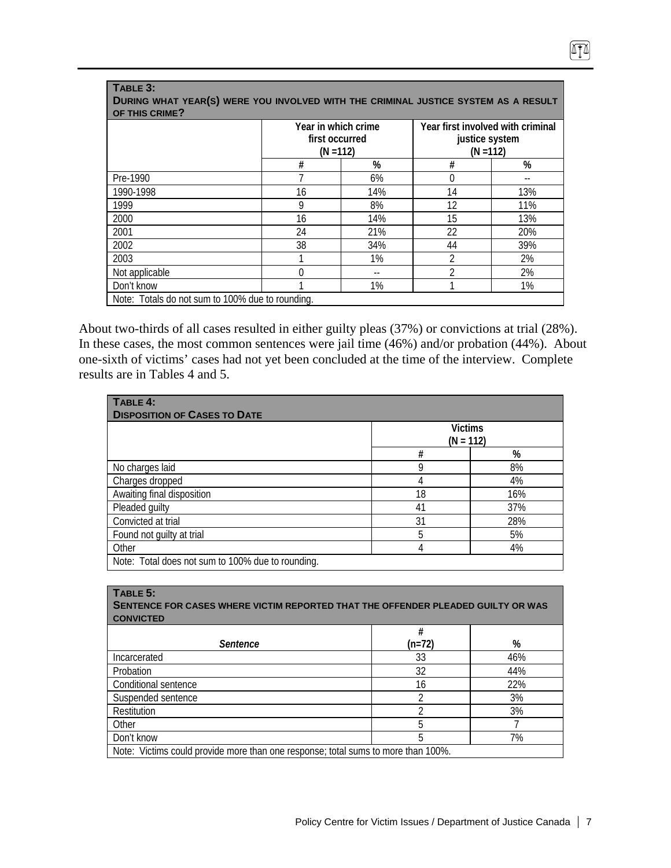| OF THIS CRIME? | first occurred | Year in which crime<br>$(N = 112)$ |    | Year first involved with criminal<br>justice system<br>$(N = 112)$ |
|----------------|----------------|------------------------------------|----|--------------------------------------------------------------------|
|                | #              | %                                  |    |                                                                    |
| Pre-1990       |                | 6%                                 | 0  |                                                                    |
| 1990-1998      | 16             | 14%                                | 14 | 13%                                                                |
| 1999           | 9              | 8%                                 | 12 | 11%                                                                |
| 2000           | 16             | 14%                                | 15 | 13%                                                                |
| 2001           | 24             | 21%                                | 22 | 20%                                                                |
| 2002           | 38             | 34%                                | 44 | 39%                                                                |
| 2003           |                | $1\%$                              | 2  | 2%                                                                 |
| Not applicable |                |                                    | າ  | 2%                                                                 |
| Don't know     |                | 1%                                 |    | 1%                                                                 |

**TABLE 3:** 

About two-thirds of all cases resulted in either guilty pleas (37%) or convictions at trial (28%). In these cases, the most common sentences were jail time (46%) and/or probation (44%). About one-sixth of victims' cases had not yet been concluded at the time of the interview. Complete results are in Tables 4 and 5.

| TABLE 4:<br><b>DISPOSITION OF CASES TO DATE</b>   |    |                               |  |  |  |
|---------------------------------------------------|----|-------------------------------|--|--|--|
|                                                   |    | <b>Victims</b><br>$(N = 112)$ |  |  |  |
|                                                   | #  | %                             |  |  |  |
| No charges laid                                   | 9  | 8%                            |  |  |  |
| Charges dropped                                   | 4  | 4%                            |  |  |  |
| Awaiting final disposition                        | 18 | 16%                           |  |  |  |
| Pleaded guilty                                    | 41 | 37%                           |  |  |  |
| Convicted at trial                                | 31 | 28%                           |  |  |  |
| Found not guilty at trial                         | 5  | 5%                            |  |  |  |
| Other                                             | 4  | 4%                            |  |  |  |
| Note: Total does not sum to 100% due to rounding. |    |                               |  |  |  |

| TABLE 5:<br>SENTENCE FOR CASES WHERE VICTIM REPORTED THAT THE OFFENDER PLEADED GUILTY OR WAS<br><b>CONVICTED</b> |          |     |  |  |  |
|------------------------------------------------------------------------------------------------------------------|----------|-----|--|--|--|
|                                                                                                                  | #        |     |  |  |  |
| <b>Sentence</b>                                                                                                  | $(n=72)$ | %   |  |  |  |
| Incarcerated                                                                                                     | 33       | 46% |  |  |  |
| Probation                                                                                                        | 32       | 44% |  |  |  |
| Conditional sentence                                                                                             | 16       | 22% |  |  |  |
| Suspended sentence                                                                                               | າ        | 3%  |  |  |  |
| Restitution                                                                                                      |          | 3%  |  |  |  |
| Other                                                                                                            | 5        |     |  |  |  |
| Don't know                                                                                                       | 5        | 7%  |  |  |  |
| Note: Victims could provide more than one response; total sums to more than 100%.                                |          |     |  |  |  |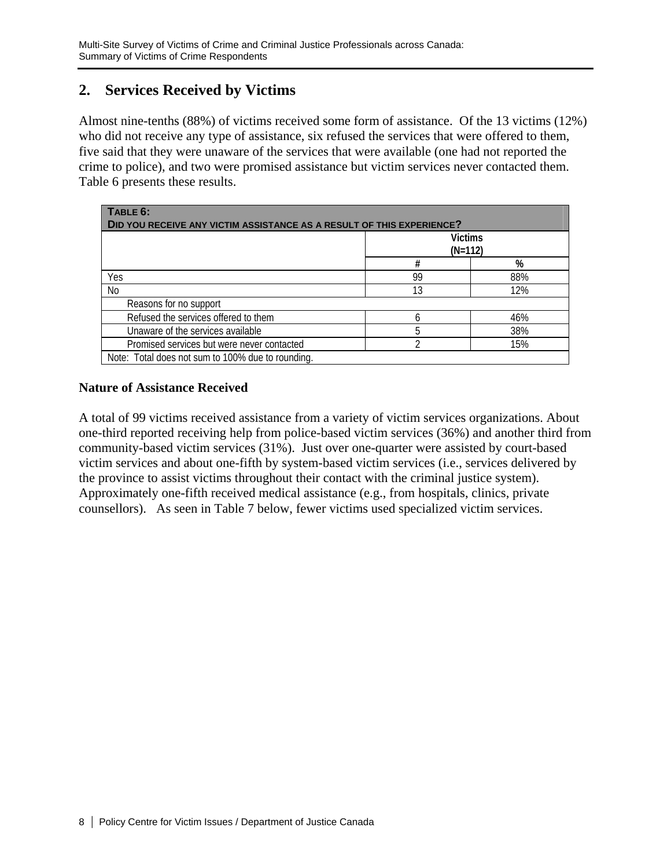# **2. Services Received by Victims**

Almost nine-tenths (88%) of victims received some form of assistance. Of the 13 victims (12%) who did not receive any type of assistance, six refused the services that were offered to them, five said that they were unaware of the services that were available (one had not reported the crime to police), and two were promised assistance but victim services never contacted them. Table 6 presents these results.

| TABLE 6:<br>DID YOU RECEIVE ANY VICTIM ASSISTANCE AS A RESULT OF THIS EXPERIENCE? |        |                             |  |  |  |
|-----------------------------------------------------------------------------------|--------|-----------------------------|--|--|--|
|                                                                                   |        | <b>Victims</b><br>$(N=112)$ |  |  |  |
|                                                                                   | %<br># |                             |  |  |  |
| Yes                                                                               | 99     | 88%                         |  |  |  |
| No                                                                                | 13     | 12%                         |  |  |  |
| Reasons for no support                                                            |        |                             |  |  |  |
| Refused the services offered to them                                              | h      | 46%                         |  |  |  |
| Unaware of the services available                                                 | 5      | 38%                         |  |  |  |
| Promised services but were never contacted<br>∩<br>15%                            |        |                             |  |  |  |
| Note: Total does not sum to 100% due to rounding.                                 |        |                             |  |  |  |

### **Nature of Assistance Received**

A total of 99 victims received assistance from a variety of victim services organizations. About one-third reported receiving help from police-based victim services (36%) and another third from community-based victim services (31%). Just over one-quarter were assisted by court-based victim services and about one-fifth by system-based victim services (i.e., services delivered by the province to assist victims throughout their contact with the criminal justice system). Approximately one-fifth received medical assistance (e.g., from hospitals, clinics, private counsellors). As seen in Table 7 below, fewer victims used specialized victim services.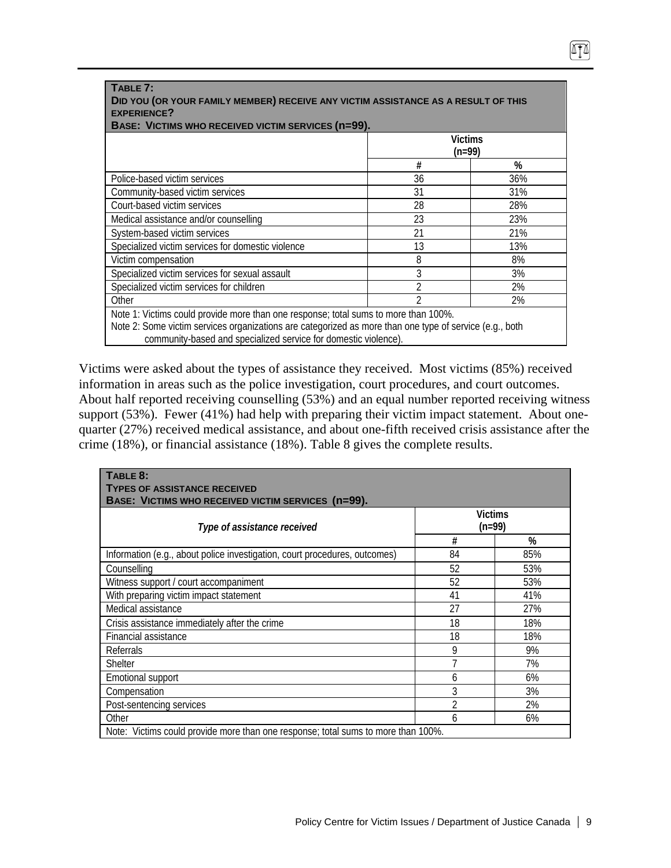| TABLE 7:<br>DID YOU (OR YOUR FAMILY MEMBER) RECEIVE ANY VICTIM ASSISTANCE AS A RESULT OF THIS<br><b>EXPERIENCE?</b><br>BASE: VICTIMS WHO RECEIVED VICTIM SERVICES (n=99).                                                                                         |    |                     |  |  |  |
|-------------------------------------------------------------------------------------------------------------------------------------------------------------------------------------------------------------------------------------------------------------------|----|---------------------|--|--|--|
|                                                                                                                                                                                                                                                                   |    | Victims<br>$(n=99)$ |  |  |  |
| %<br>#                                                                                                                                                                                                                                                            |    |                     |  |  |  |
| Police-based victim services                                                                                                                                                                                                                                      | 36 | 36%                 |  |  |  |
| Community-based victim services                                                                                                                                                                                                                                   | 31 | 31%                 |  |  |  |
| Court-based victim services                                                                                                                                                                                                                                       | 28 | 28%                 |  |  |  |
| Medical assistance and/or counselling                                                                                                                                                                                                                             | 23 | 23%                 |  |  |  |
| System-based victim services                                                                                                                                                                                                                                      | 21 | 21%                 |  |  |  |
| Specialized victim services for domestic violence                                                                                                                                                                                                                 | 13 | 13%                 |  |  |  |
| Victim compensation                                                                                                                                                                                                                                               | 8  | 8%                  |  |  |  |
| Specialized victim services for sexual assault                                                                                                                                                                                                                    | 3  | 3%                  |  |  |  |
| Specialized victim services for children                                                                                                                                                                                                                          |    | 2%                  |  |  |  |
| Other<br>2%                                                                                                                                                                                                                                                       |    |                     |  |  |  |
| Note 1: Victims could provide more than one response; total sums to more than 100%.<br>Note 2: Some victim services organizations are categorized as more than one type of service (e.g., both<br>community-based and specialized service for domestic violence). |    |                     |  |  |  |

Victims were asked about the types of assistance they received. Most victims (85%) received information in areas such as the police investigation, court procedures, and court outcomes. About half reported receiving counselling (53%) and an equal number reported receiving witness support (53%). Fewer (41%) had help with preparing their victim impact statement. About onequarter (27%) received medical assistance, and about one-fifth received crisis assistance after the crime (18%), or financial assistance (18%). Table 8 gives the complete results.

| TABLE 8:<br><b>TYPES OF ASSISTANCE RECEIVED</b><br>BASE: VICTIMS WHO RECEIVED VICTIM SERVICES (n=99). |                            |     |  |  |  |
|-------------------------------------------------------------------------------------------------------|----------------------------|-----|--|--|--|
| Type of assistance received                                                                           | <b>Victims</b><br>$(n=99)$ |     |  |  |  |
|                                                                                                       | #                          | %   |  |  |  |
| Information (e.g., about police investigation, court procedures, outcomes)                            | 84                         | 85% |  |  |  |
| Counselling                                                                                           | 52                         | 53% |  |  |  |
| Witness support / court accompaniment                                                                 | 52                         | 53% |  |  |  |
| With preparing victim impact statement                                                                | 41                         | 41% |  |  |  |
| Medical assistance                                                                                    | 27                         | 27% |  |  |  |
| Crisis assistance immediately after the crime                                                         | 18                         | 18% |  |  |  |
| Financial assistance                                                                                  | 18                         | 18% |  |  |  |
| Referrals                                                                                             | 9                          | 9%  |  |  |  |
| <b>Shelter</b>                                                                                        | 7                          | 7%  |  |  |  |
| Emotional support                                                                                     | 6                          | 6%  |  |  |  |
| Compensation                                                                                          | 3                          | 3%  |  |  |  |
| Post-sentencing services                                                                              | 2                          | 2%  |  |  |  |
| Other                                                                                                 | 6                          | 6%  |  |  |  |
| Note: Victims could provide more than one response; total sums to more than 100%.                     |                            |     |  |  |  |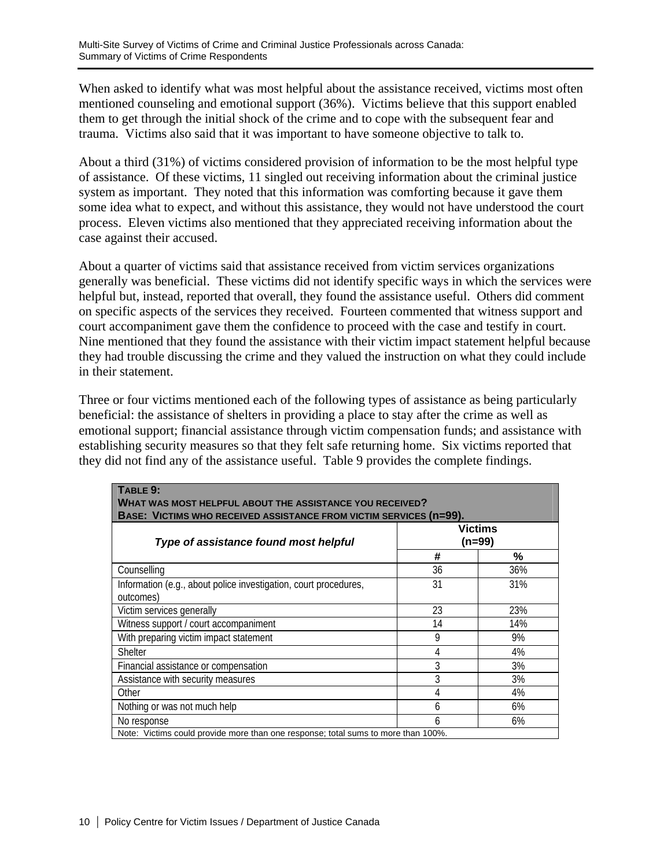When asked to identify what was most helpful about the assistance received, victims most often mentioned counseling and emotional support (36%). Victims believe that this support enabled them to get through the initial shock of the crime and to cope with the subsequent fear and trauma. Victims also said that it was important to have someone objective to talk to.

About a third (31%) of victims considered provision of information to be the most helpful type of assistance. Of these victims, 11 singled out receiving information about the criminal justice system as important. They noted that this information was comforting because it gave them some idea what to expect, and without this assistance, they would not have understood the court process. Eleven victims also mentioned that they appreciated receiving information about the case against their accused.

About a quarter of victims said that assistance received from victim services organizations generally was beneficial. These victims did not identify specific ways in which the services were helpful but, instead, reported that overall, they found the assistance useful. Others did comment on specific aspects of the services they received. Fourteen commented that witness support and court accompaniment gave them the confidence to proceed with the case and testify in court. Nine mentioned that they found the assistance with their victim impact statement helpful because they had trouble discussing the crime and they valued the instruction on what they could include in their statement.

Three or four victims mentioned each of the following types of assistance as being particularly beneficial: the assistance of shelters in providing a place to stay after the crime as well as emotional support; financial assistance through victim compensation funds; and assistance with establishing security measures so that they felt safe returning home. Six victims reported that they did not find any of the assistance useful. Table 9 provides the complete findings.

| TABLE 9:<br><b>WHAT WAS MOST HELPFUL ABOUT THE ASSISTANCE YOU RECEIVED?</b>       |    |                            |  |  |  |
|-----------------------------------------------------------------------------------|----|----------------------------|--|--|--|
| BASE: VICTIMS WHO RECEIVED ASSISTANCE FROM VICTIM SERVICES (n=99).                |    |                            |  |  |  |
| Type of assistance found most helpful                                             |    | <b>Victims</b><br>$(n=99)$ |  |  |  |
|                                                                                   | #  | %                          |  |  |  |
| Counselling                                                                       | 36 | 36%                        |  |  |  |
| Information (e.g., about police investigation, court procedures,<br>outcomes)     | 31 | 31%                        |  |  |  |
| Victim services generally                                                         | 23 | 23%                        |  |  |  |
| Witness support / court accompaniment                                             | 14 | 14%                        |  |  |  |
| With preparing victim impact statement                                            | 9  | 9%                         |  |  |  |
| <b>Shelter</b>                                                                    | 4  | 4%                         |  |  |  |
| Financial assistance or compensation                                              | 3  | 3%                         |  |  |  |
| Assistance with security measures                                                 | 3  | 3%                         |  |  |  |
| Other                                                                             | 4  | 4%                         |  |  |  |
| Nothing or was not much help                                                      | 6  | 6%                         |  |  |  |
| No response                                                                       | 6  | 6%                         |  |  |  |
| Note: Victims could provide more than one response; total sums to more than 100%. |    |                            |  |  |  |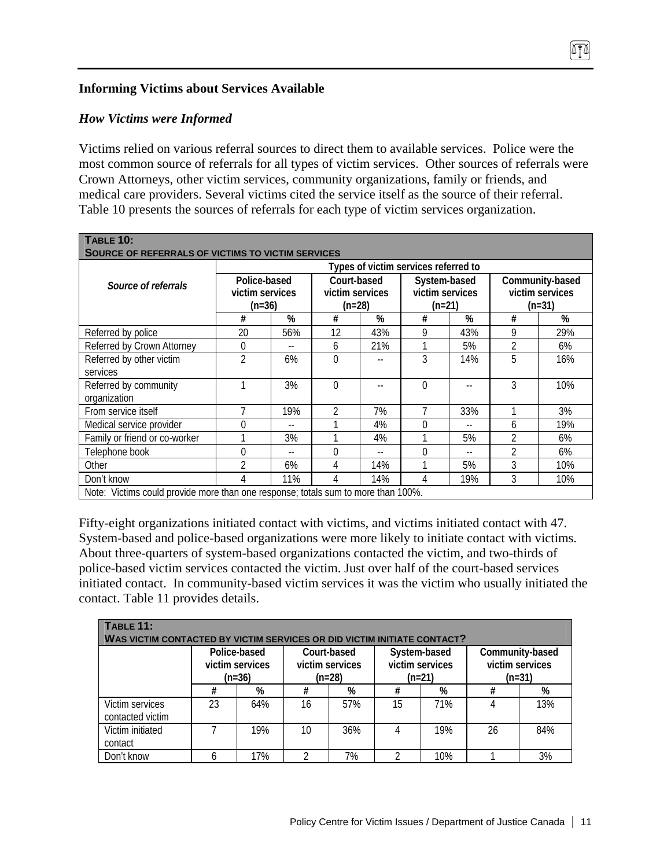### **Informing Victims about Services Available**

### *How Victims were Informed*

Victims relied on various referral sources to direct them to available services. Police were the most common source of referrals for all types of victim services. Other sources of referrals were Crown Attorneys, other victim services, community organizations, family or friends, and medical care providers. Several victims cited the service itself as the source of their referral. Table 10 presents the sources of referrals for each type of victim services organization.

m

| <b>TABLE 10:</b><br><b>SOURCE OF REFERRALS OF VICTIMS TO VICTIM SERVICES</b>      |                                             |                                      |                                          |     |                                           |     |                                                |     |
|-----------------------------------------------------------------------------------|---------------------------------------------|--------------------------------------|------------------------------------------|-----|-------------------------------------------|-----|------------------------------------------------|-----|
|                                                                                   |                                             | Types of victim services referred to |                                          |     |                                           |     |                                                |     |
| Source of referrals                                                               | Police-based<br>victim services<br>$(n=36)$ |                                      | Court-based<br>victim services<br>(n=28) |     | System-based<br>victim services<br>(n=21) |     | Community-based<br>victim services<br>$(n=31)$ |     |
|                                                                                   | #                                           | %                                    | #                                        | %   | #                                         | %   | #                                              | %   |
| Referred by police                                                                | 20                                          | 56%                                  | 12                                       | 43% | 9                                         | 43% | 9                                              | 29% |
| Referred by Crown Attorney                                                        | $\mathbf 0$                                 | --                                   | 6                                        | 21% | 1                                         | 5%  | $\overline{2}$                                 | 6%  |
| Referred by other victim<br>services                                              | $\overline{2}$                              | 6%                                   | $\Omega$                                 |     | 3                                         | 14% | 5                                              | 16% |
| Referred by community<br>organization                                             |                                             | 3%                                   | $\Omega$                                 |     | $\Omega$                                  |     | 3                                              | 10% |
| From service itself                                                               |                                             | 19%                                  | $\overline{2}$                           | 7%  | 7                                         | 33% |                                                | 3%  |
| Medical service provider                                                          | 0                                           |                                      |                                          | 4%  | $\Omega$                                  |     | 6                                              | 19% |
| Family or friend or co-worker                                                     |                                             | 3%                                   |                                          | 4%  |                                           | 5%  | $\overline{2}$                                 | 6%  |
| Telephone book                                                                    | 0                                           |                                      | 0                                        |     | $\Omega$                                  |     | $\overline{2}$                                 | 6%  |
| Other                                                                             | 2                                           | 6%                                   | 4                                        | 14% |                                           | 5%  | 3                                              | 10% |
| Don't know                                                                        | 4                                           | 11%                                  | 4                                        | 14% | 4                                         | 19% | 3                                              | 10% |
| Note: Victims could provide more than one response; totals sum to more than 100%. |                                             |                                      |                                          |     |                                           |     |                                                |     |

Fifty-eight organizations initiated contact with victims, and victims initiated contact with 47. System-based and police-based organizations were more likely to initiate contact with victims. About three-quarters of system-based organizations contacted the victim, and two-thirds of police-based victim services contacted the victim. Just over half of the court-based services initiated contact. In community-based victim services it was the victim who usually initiated the contact. Table 11 provides details.

| TABLE 11:<br>WAS VICTIM CONTACTED BY VICTIM SERVICES OR DID VICTIM INITIATE CONTACT? |    |                                                                                         |    |     |    |                                             |                                                |     |  |
|--------------------------------------------------------------------------------------|----|-----------------------------------------------------------------------------------------|----|-----|----|---------------------------------------------|------------------------------------------------|-----|--|
|                                                                                      |    | Police-based<br>Court-based<br>victim services<br>victim services<br>$(n=36)$<br>(n=28) |    |     |    | System-based<br>victim services<br>$(n=21)$ | Community-based<br>victim services<br>$(n=31)$ |     |  |
|                                                                                      | #  | %                                                                                       | #  | %   | #  | %                                           | #                                              | %   |  |
| Victim services<br>contacted victim                                                  | 23 | 64%                                                                                     | 16 | 57% | 15 | 71%                                         |                                                | 13% |  |
| Victim initiated<br>contact                                                          |    | 19%                                                                                     | 10 | 36% |    | 19%                                         | 26                                             | 84% |  |
| Don't know                                                                           | 6  | 17%                                                                                     |    | 7%  | າ  | 10%                                         |                                                | 3%  |  |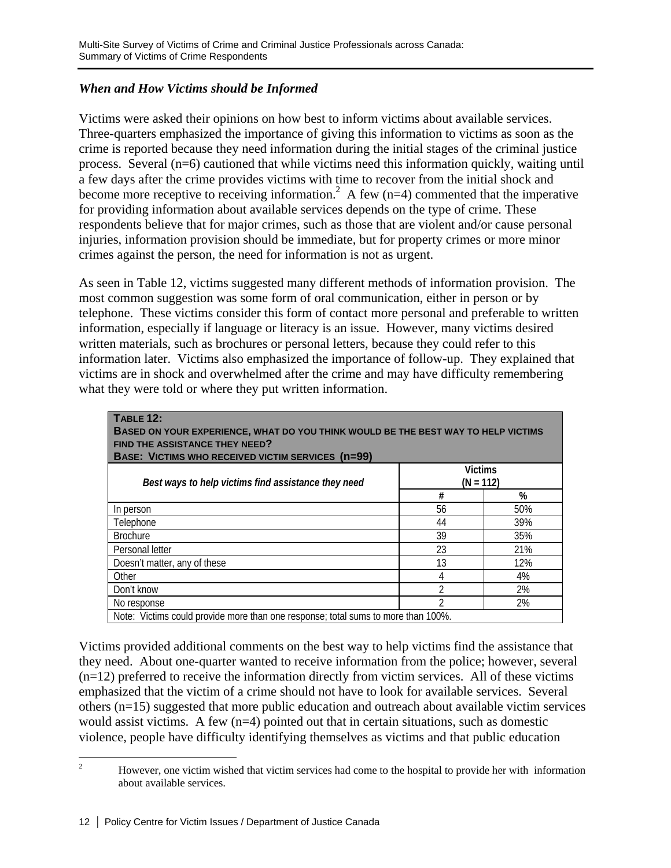# *When and How Victims should be Informed*

Victims were asked their opinions on how best to inform victims about available services. Three-quarters emphasized the importance of giving this information to victims as soon as the crime is reported because they need information during the initial stages of the criminal justice process. Several (n=6) cautioned that while victims need this information quickly, waiting until a few days after the crime provides victims with time to recover from the initial shock and become more receptive to receiving information.<sup>2</sup> A few ( $n=4$ ) commented that the imperative for providing information about available services depends on the type of crime. These respondents believe that for major crimes, such as those that are violent and/or cause personal injuries, information provision should be immediate, but for property crimes or more minor crimes against the person, the need for information is not as urgent.

As seen in Table 12, victims suggested many different methods of information provision. The most common suggestion was some form of oral communication, either in person or by telephone. These victims consider this form of contact more personal and preferable to written information, especially if language or literacy is an issue. However, many victims desired written materials, such as brochures or personal letters, because they could refer to this information later. Victims also emphasized the importance of follow-up. They explained that victims are in shock and overwhelmed after the crime and may have difficulty remembering what they were told or where they put written information.

| TABLE 12:<br><b>BASED ON YOUR EXPERIENCE, WHAT DO YOU THINK WOULD BE THE BEST WAY TO HELP VICTIMS</b><br>FIND THE ASSISTANCE THEY NEED?<br><b>BASE: VICTIMS WHO RECEIVED VICTIM SERVICES (n=99)</b> |    |     |  |
|-----------------------------------------------------------------------------------------------------------------------------------------------------------------------------------------------------|----|-----|--|
| <b>Victims</b><br>$(N = 112)$<br>Best ways to help victims find assistance they need                                                                                                                |    |     |  |
|                                                                                                                                                                                                     | #  | %   |  |
| In person                                                                                                                                                                                           | 56 | 50% |  |
| Telephone                                                                                                                                                                                           | 44 | 39% |  |
| <b>Brochure</b>                                                                                                                                                                                     | 39 | 35% |  |
| Personal letter                                                                                                                                                                                     | 23 | 21% |  |
| Doesn't matter, any of these                                                                                                                                                                        | 13 | 12% |  |
| Other                                                                                                                                                                                               | 4  | 4%  |  |
| Don't know                                                                                                                                                                                          | າ  | 2%  |  |
| No response                                                                                                                                                                                         |    | 2%  |  |
| Note: Victims could provide more than one response; total sums to more than 100%.                                                                                                                   |    |     |  |

Victims provided additional comments on the best way to help victims find the assistance that they need. About one-quarter wanted to receive information from the police; however, several  $(n=12)$  preferred to receive the information directly from victim services. All of these victims

emphasized that the victim of a crime should not have to look for available services. Several others (n=15) suggested that more public education and outreach about available victim services would assist victims. A few  $(n=4)$  pointed out that in certain situations, such as domestic violence, people have difficulty identifying themselves as victims and that public education

 $\frac{1}{2}$  However, one victim wished that victim services had come to the hospital to provide her with information about available services.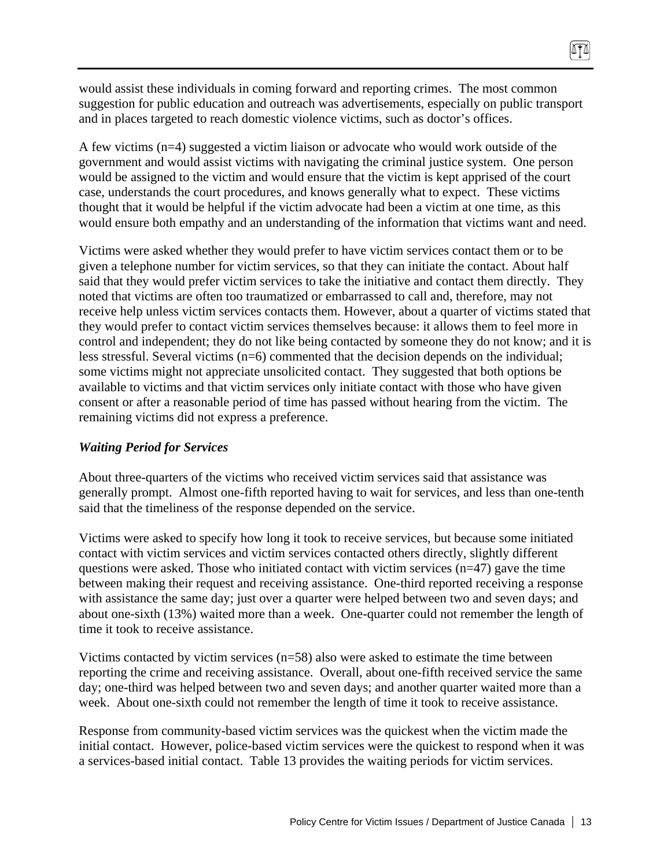would assist these individuals in coming forward and reporting crimes. The most common suggestion for public education and outreach was advertisements, especially on public transport and in places targeted to reach domestic violence victims, such as doctor's offices.

A few victims (n=4) suggested a victim liaison or advocate who would work outside of the government and would assist victims with navigating the criminal justice system. One person would be assigned to the victim and would ensure that the victim is kept apprised of the court case, understands the court procedures, and knows generally what to expect. These victims thought that it would be helpful if the victim advocate had been a victim at one time, as this would ensure both empathy and an understanding of the information that victims want and need.

Victims were asked whether they would prefer to have victim services contact them or to be given a telephone number for victim services, so that they can initiate the contact. About half said that they would prefer victim services to take the initiative and contact them directly. They noted that victims are often too traumatized or embarrassed to call and, therefore, may not receive help unless victim services contacts them. However, about a quarter of victims stated that they would prefer to contact victim services themselves because: it allows them to feel more in control and independent; they do not like being contacted by someone they do not know; and it is less stressful. Several victims (n=6) commented that the decision depends on the individual; some victims might not appreciate unsolicited contact. They suggested that both options be available to victims and that victim services only initiate contact with those who have given consent or after a reasonable period of time has passed without hearing from the victim. The remaining victims did not express a preference.

#### *Waiting Period for Services*

About three-quarters of the victims who received victim services said that assistance was generally prompt. Almost one-fifth reported having to wait for services, and less than one-tenth said that the timeliness of the response depended on the service.

Victims were asked to specify how long it took to receive services, but because some initiated contact with victim services and victim services contacted others directly, slightly different questions were asked. Those who initiated contact with victim services  $(n=47)$  gave the time between making their request and receiving assistance. One-third reported receiving a response with assistance the same day; just over a quarter were helped between two and seven days; and about one-sixth (13%) waited more than a week. One-quarter could not remember the length of time it took to receive assistance.

Victims contacted by victim services  $(n=58)$  also were asked to estimate the time between reporting the crime and receiving assistance. Overall, about one-fifth received service the same day; one-third was helped between two and seven days; and another quarter waited more than a week. About one-sixth could not remember the length of time it took to receive assistance.

Response from community-based victim services was the quickest when the victim made the initial contact. However, police-based victim services were the quickest to respond when it was a services-based initial contact. Table 13 provides the waiting periods for victim services.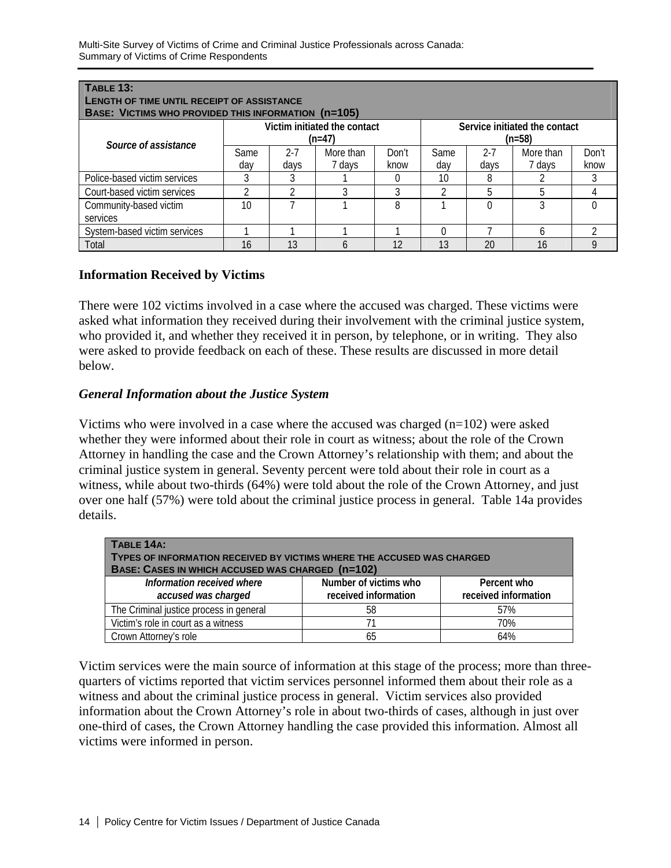| <b>TABLE 13:</b><br><b>LENGTH OF TIME UNTIL RECEIPT OF ASSISTANCE</b><br>BASE: VICTIMS WHO PROVIDED THIS INFORMATION (n=105) |             |                 |                                          |               |             |                 |                                           |               |
|------------------------------------------------------------------------------------------------------------------------------|-------------|-----------------|------------------------------------------|---------------|-------------|-----------------|-------------------------------------------|---------------|
| Source of assistance                                                                                                         |             |                 | Victim initiated the contact<br>$(n=47)$ |               |             |                 | Service initiated the contact<br>$(n=58)$ |               |
|                                                                                                                              | Same<br>dav | $2 - 7$<br>days | More than<br>7 days                      | Don't<br>know | Same<br>dav | $2 - 7$<br>days | More than<br>7 days                       | Don't<br>know |
| Police-based victim services                                                                                                 |             |                 |                                          |               | 10          | 8               |                                           |               |
| Court-based victim services                                                                                                  |             |                 |                                          | 3             |             | 5               | 5                                         |               |
| Community-based victim<br>services                                                                                           | 10          |                 |                                          | 8             |             |                 |                                           |               |
| System-based victim services                                                                                                 |             |                 |                                          |               |             |                 | <sub>6</sub>                              |               |
| Total                                                                                                                        | 16          | 13              | h                                        | 12            | 13          | 20              | 16                                        | g             |

# **Information Received by Victims**

There were 102 victims involved in a case where the accused was charged. These victims were asked what information they received during their involvement with the criminal justice system, who provided it, and whether they received it in person, by telephone, or in writing. They also were asked to provide feedback on each of these. These results are discussed in more detail below.

### *General Information about the Justice System*

Victims who were involved in a case where the accused was charged  $(n=102)$  were asked whether they were informed about their role in court as witness; about the role of the Crown Attorney in handling the case and the Crown Attorney's relationship with them; and about the criminal justice system in general. Seventy percent were told about their role in court as a witness, while about two-thirds (64%) were told about the role of the Crown Attorney, and just over one half (57%) were told about the criminal justice process in general. Table 14a provides details.

| TABLE 14A:<br>TYPES OF INFORMATION RECEIVED BY VICTIMS WHERE THE ACCUSED WAS CHARGED<br>BASE: CASES IN WHICH ACCUSED WAS CHARGED (n=102) |                                               |                                     |  |  |
|------------------------------------------------------------------------------------------------------------------------------------------|-----------------------------------------------|-------------------------------------|--|--|
| Information received where<br>accused was charged                                                                                        | Number of victims who<br>received information | Percent who<br>received information |  |  |
| The Criminal justice process in general                                                                                                  | 58                                            | 57%                                 |  |  |
| Victim's role in court as a witness                                                                                                      | 71                                            | 70%                                 |  |  |
| Crown Attorney's role                                                                                                                    | 65                                            | 64%                                 |  |  |

Victim services were the main source of information at this stage of the process; more than threequarters of victims reported that victim services personnel informed them about their role as a witness and about the criminal justice process in general. Victim services also provided information about the Crown Attorney's role in about two-thirds of cases, although in just over one-third of cases, the Crown Attorney handling the case provided this information. Almost all victims were informed in person.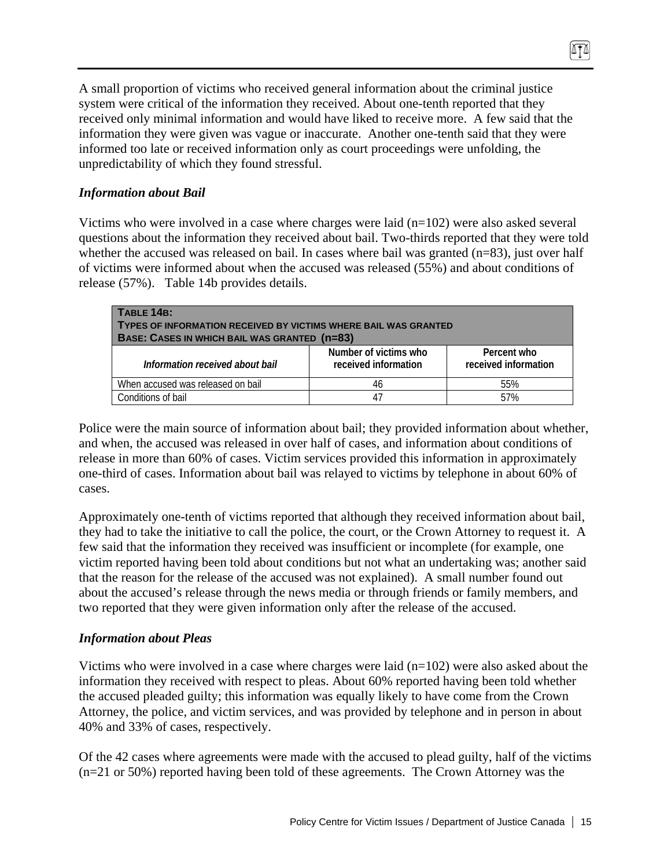A small proportion of victims who received general information about the criminal justice system were critical of the information they received. About one-tenth reported that they received only minimal information and would have liked to receive more. A few said that the information they were given was vague or inaccurate. Another one-tenth said that they were informed too late or received information only as court proceedings were unfolding, the unpredictability of which they found stressful.

### *Information about Bail*

Victims who were involved in a case where charges were laid (n=102) were also asked several questions about the information they received about bail. Two-thirds reported that they were told whether the accused was released on bail. In cases where bail was granted (n=83), just over half of victims were informed about when the accused was released (55%) and about conditions of release (57%). Table 14b provides details.

| TABLE 14B:<br><b>TYPES OF INFORMATION RECEIVED BY VICTIMS WHERE BAIL WAS GRANTED</b><br>BASE: CASES IN WHICH BAIL WAS GRANTED (n=83) |                                               |                                     |
|--------------------------------------------------------------------------------------------------------------------------------------|-----------------------------------------------|-------------------------------------|
| Information received about bail                                                                                                      | Number of victims who<br>received information | Percent who<br>received information |
| When accused was released on bail                                                                                                    | 46                                            | 55%                                 |
| Conditions of bail                                                                                                                   | 47                                            | 57%                                 |

Police were the main source of information about bail; they provided information about whether, and when, the accused was released in over half of cases, and information about conditions of release in more than 60% of cases. Victim services provided this information in approximately one-third of cases. Information about bail was relayed to victims by telephone in about 60% of cases.

Approximately one-tenth of victims reported that although they received information about bail, they had to take the initiative to call the police, the court, or the Crown Attorney to request it. A few said that the information they received was insufficient or incomplete (for example, one victim reported having been told about conditions but not what an undertaking was; another said that the reason for the release of the accused was not explained). A small number found out about the accused's release through the news media or through friends or family members, and two reported that they were given information only after the release of the accused.

#### *Information about Pleas*

Victims who were involved in a case where charges were laid  $(n=102)$  were also asked about the information they received with respect to pleas. About 60% reported having been told whether the accused pleaded guilty; this information was equally likely to have come from the Crown Attorney, the police, and victim services, and was provided by telephone and in person in about 40% and 33% of cases, respectively.

Of the 42 cases where agreements were made with the accused to plead guilty, half of the victims (n=21 or 50%) reported having been told of these agreements. The Crown Attorney was the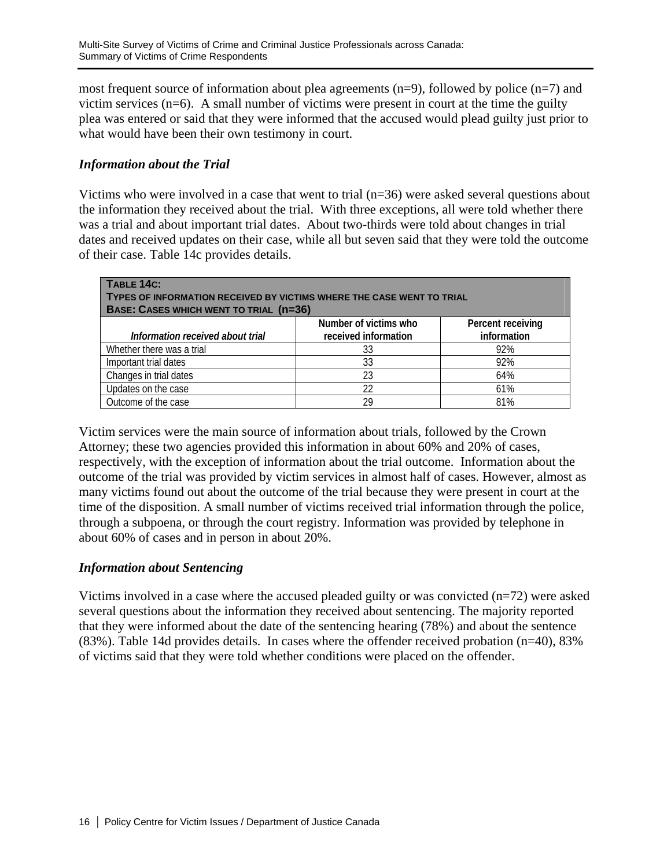most frequent source of information about plea agreements  $(n=9)$ , followed by police  $(n=7)$  and victim services  $(n=6)$ . A small number of victims were present in court at the time the guilty plea was entered or said that they were informed that the accused would plead guilty just prior to what would have been their own testimony in court.

### *Information about the Trial*

Victims who were involved in a case that went to trial (n=36) were asked several questions about the information they received about the trial. With three exceptions, all were told whether there was a trial and about important trial dates. About two-thirds were told about changes in trial dates and received updates on their case, while all but seven said that they were told the outcome of their case. Table 14c provides details.

| TABLE 14C:<br>TYPES OF INFORMATION RECEIVED BY VICTIMS WHERE THE CASE WENT TO TRIAL<br>BASE: CASES WHICH WENT TO TRIAL (n=36) |                       |                   |  |  |
|-------------------------------------------------------------------------------------------------------------------------------|-----------------------|-------------------|--|--|
|                                                                                                                               | Number of victims who | Percent receiving |  |  |
| Information received about trial                                                                                              | received information  | information       |  |  |
| Whether there was a trial                                                                                                     | 33                    | 92%               |  |  |
| Important trial dates                                                                                                         | 33                    | 92%               |  |  |
| Changes in trial dates                                                                                                        | 23                    | 64%               |  |  |
| Updates on the case                                                                                                           | 22                    | 61%               |  |  |
| Outcome of the case                                                                                                           | 29                    | 81%               |  |  |

Victim services were the main source of information about trials, followed by the Crown Attorney; these two agencies provided this information in about 60% and 20% of cases, respectively, with the exception of information about the trial outcome. Information about the outcome of the trial was provided by victim services in almost half of cases. However, almost as many victims found out about the outcome of the trial because they were present in court at the time of the disposition. A small number of victims received trial information through the police, through a subpoena, or through the court registry. Information was provided by telephone in about 60% of cases and in person in about 20%.

### *Information about Sentencing*

Victims involved in a case where the accused pleaded guilty or was convicted  $(n=72)$  were asked several questions about the information they received about sentencing. The majority reported that they were informed about the date of the sentencing hearing (78%) and about the sentence (83%). Table 14d provides details. In cases where the offender received probation (n=40), 83% of victims said that they were told whether conditions were placed on the offender.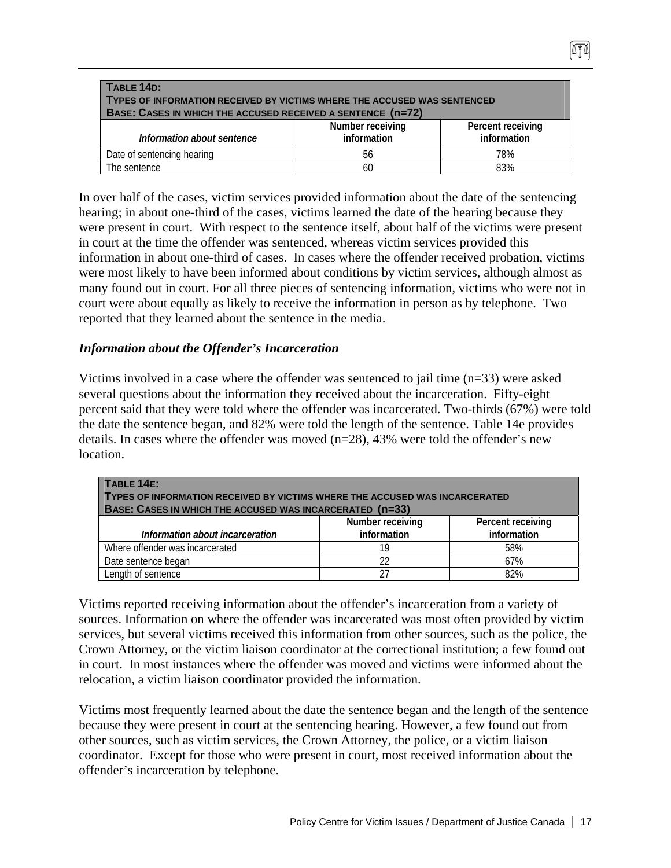| TABLE 14D:<br>TYPES OF INFORMATION RECEIVED BY VICTIMS WHERE THE ACCUSED WAS SENTENCED<br>BASE: CASES IN WHICH THE ACCUSED RECEIVED A SENTENCE (n=72) |                                 |                                  |  |
|-------------------------------------------------------------------------------------------------------------------------------------------------------|---------------------------------|----------------------------------|--|
| Information about sentence                                                                                                                            | Number receiving<br>information | Percent receiving<br>information |  |
| Date of sentencing hearing                                                                                                                            | 56                              | 78%                              |  |
| The sentence                                                                                                                                          | 60                              | 83%                              |  |

In over half of the cases, victim services provided information about the date of the sentencing hearing; in about one-third of the cases, victims learned the date of the hearing because they were present in court. With respect to the sentence itself, about half of the victims were present in court at the time the offender was sentenced, whereas victim services provided this information in about one-third of cases. In cases where the offender received probation, victims were most likely to have been informed about conditions by victim services, although almost as many found out in court. For all three pieces of sentencing information, victims who were not in court were about equally as likely to receive the information in person as by telephone. Two reported that they learned about the sentence in the media.

### *Information about the Offender's Incarceration*

Victims involved in a case where the offender was sentenced to jail time (n=33) were asked several questions about the information they received about the incarceration. Fifty-eight percent said that they were told where the offender was incarcerated. Two-thirds (67%) were told the date the sentence began, and 82% were told the length of the sentence. Table 14e provides details. In cases where the offender was moved  $(n=28)$ , 43% were told the offender's new location.

| TABLE 14E:<br>TYPES OF INFORMATION RECEIVED BY VICTIMS WHERE THE ACCUSED WAS INCARCERATED<br>BASE: CASES IN WHICH THE ACCUSED WAS INCARCERATED (n=33) |                                 |                                  |  |
|-------------------------------------------------------------------------------------------------------------------------------------------------------|---------------------------------|----------------------------------|--|
| Information about incarceration                                                                                                                       | Number receiving<br>information | Percent receiving<br>information |  |
| Where offender was incarcerated                                                                                                                       | 19                              | 58%                              |  |
| Date sentence began                                                                                                                                   | 22                              | 67%                              |  |
| Length of sentence                                                                                                                                    | 27                              | 82%                              |  |

Victims reported receiving information about the offender's incarceration from a variety of sources. Information on where the offender was incarcerated was most often provided by victim services, but several victims received this information from other sources, such as the police, the Crown Attorney, or the victim liaison coordinator at the correctional institution; a few found out in court. In most instances where the offender was moved and victims were informed about the relocation, a victim liaison coordinator provided the information.

Victims most frequently learned about the date the sentence began and the length of the sentence because they were present in court at the sentencing hearing. However, a few found out from other sources, such as victim services, the Crown Attorney, the police, or a victim liaison coordinator. Except for those who were present in court, most received information about the offender's incarceration by telephone.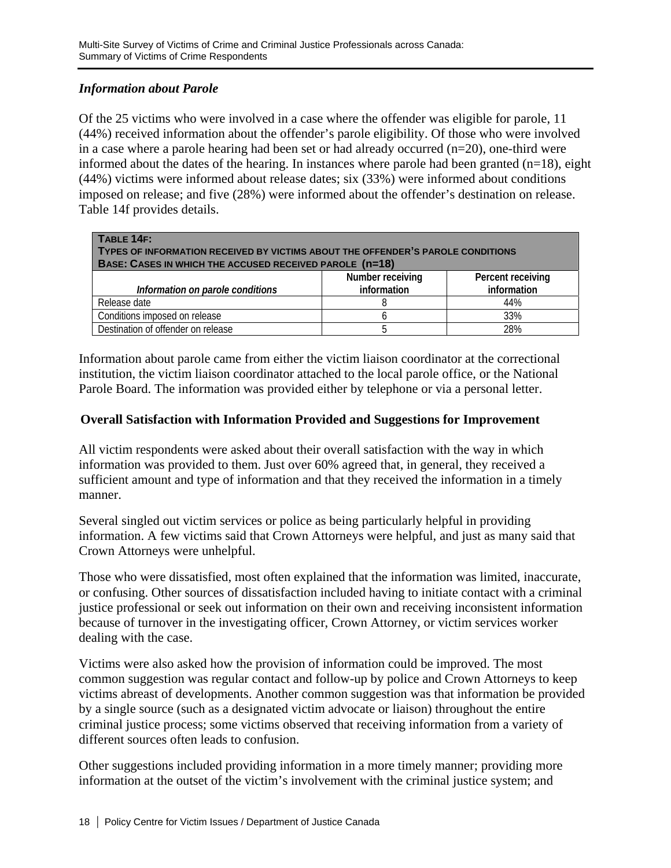# *Information about Parole*

Of the 25 victims who were involved in a case where the offender was eligible for parole, 11 (44%) received information about the offender's parole eligibility. Of those who were involved in a case where a parole hearing had been set or had already occurred  $(n=20)$ , one-third were informed about the dates of the hearing. In instances where parole had been granted  $(n=18)$ , eight (44%) victims were informed about release dates; six (33%) were informed about conditions imposed on release; and five (28%) were informed about the offender's destination on release. Table 14f provides details.

| $TABLE 14F$ :<br>TYPES OF INFORMATION RECEIVED BY VICTIMS ABOUT THE OFFENDER'S PAROLE CONDITIONS<br>BASE: CASES IN WHICH THE ACCUSED RECEIVED PAROLE (n=18) |                                 |                                  |  |
|-------------------------------------------------------------------------------------------------------------------------------------------------------------|---------------------------------|----------------------------------|--|
| Information on parole conditions                                                                                                                            | Number receiving<br>information | Percent receiving<br>information |  |
| Release date                                                                                                                                                |                                 | 44%                              |  |
| Conditions imposed on release                                                                                                                               |                                 | 33%                              |  |
| Destination of offender on release                                                                                                                          |                                 | 28%                              |  |

Information about parole came from either the victim liaison coordinator at the correctional institution, the victim liaison coordinator attached to the local parole office, or the National Parole Board. The information was provided either by telephone or via a personal letter.

# **Overall Satisfaction with Information Provided and Suggestions for Improvement**

All victim respondents were asked about their overall satisfaction with the way in which information was provided to them. Just over 60% agreed that, in general, they received a sufficient amount and type of information and that they received the information in a timely manner.

Several singled out victim services or police as being particularly helpful in providing information. A few victims said that Crown Attorneys were helpful, and just as many said that Crown Attorneys were unhelpful.

Those who were dissatisfied, most often explained that the information was limited, inaccurate, or confusing. Other sources of dissatisfaction included having to initiate contact with a criminal justice professional or seek out information on their own and receiving inconsistent information because of turnover in the investigating officer, Crown Attorney, or victim services worker dealing with the case.

Victims were also asked how the provision of information could be improved. The most common suggestion was regular contact and follow-up by police and Crown Attorneys to keep victims abreast of developments. Another common suggestion was that information be provided by a single source (such as a designated victim advocate or liaison) throughout the entire criminal justice process; some victims observed that receiving information from a variety of different sources often leads to confusion.

Other suggestions included providing information in a more timely manner; providing more information at the outset of the victim's involvement with the criminal justice system; and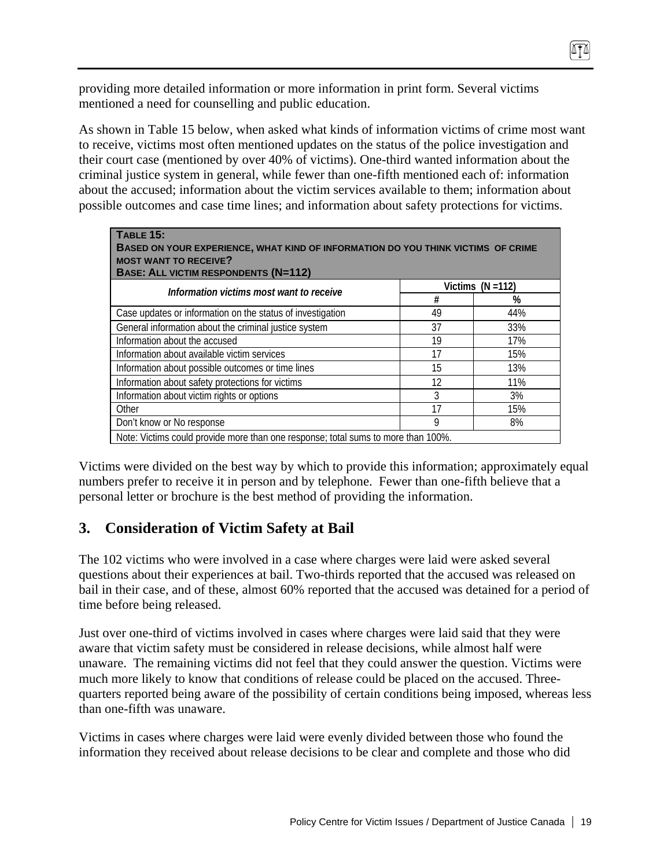providing more detailed information or more information in print form. Several victims mentioned a need for counselling and public education.

As shown in Table 15 below, when asked what kinds of information victims of crime most want to receive, victims most often mentioned updates on the status of the police investigation and their court case (mentioned by over 40% of victims). One-third wanted information about the criminal justice system in general, while fewer than one-fifth mentioned each of: information about the accused; information about the victim services available to them; information about possible outcomes and case time lines; and information about safety protections for victims.

| TABLE 15:<br>BASED ON YOUR EXPERIENCE, WHAT KIND OF INFORMATION DO YOU THINK VICTIMS OF CRIME<br><b>MOST WANT TO RECEIVE?</b><br><b>BASE: ALL VICTIM RESPONDENTS (N=112)</b> |    |                     |  |
|------------------------------------------------------------------------------------------------------------------------------------------------------------------------------|----|---------------------|--|
| Information victims most want to receive                                                                                                                                     |    | Victims $(N = 112)$ |  |
|                                                                                                                                                                              | #  | %                   |  |
| Case updates or information on the status of investigation                                                                                                                   | 49 | 44%                 |  |
| General information about the criminal justice system                                                                                                                        | 37 | 33%                 |  |
| Information about the accused                                                                                                                                                | 19 | 17%                 |  |
| Information about available victim services                                                                                                                                  | 17 | 15%                 |  |
| Information about possible outcomes or time lines                                                                                                                            | 15 | 13%                 |  |
| Information about safety protections for victims                                                                                                                             | 12 | 11%                 |  |
| Information about victim rights or options                                                                                                                                   | 3  | 3%                  |  |
| Other                                                                                                                                                                        | 17 | 15%                 |  |
| Don't know or No response                                                                                                                                                    | 9  | 8%                  |  |
| Note: Victims could provide more than one response; total sums to more than 100%.                                                                                            |    |                     |  |

Victims were divided on the best way by which to provide this information; approximately equal numbers prefer to receive it in person and by telephone. Fewer than one-fifth believe that a personal letter or brochure is the best method of providing the information.

# **3. Consideration of Victim Safety at Bail**

The 102 victims who were involved in a case where charges were laid were asked several questions about their experiences at bail. Two-thirds reported that the accused was released on bail in their case, and of these, almost 60% reported that the accused was detained for a period of time before being released.

Just over one-third of victims involved in cases where charges were laid said that they were aware that victim safety must be considered in release decisions, while almost half were unaware. The remaining victims did not feel that they could answer the question. Victims were much more likely to know that conditions of release could be placed on the accused. Threequarters reported being aware of the possibility of certain conditions being imposed, whereas less than one-fifth was unaware.

Victims in cases where charges were laid were evenly divided between those who found the information they received about release decisions to be clear and complete and those who did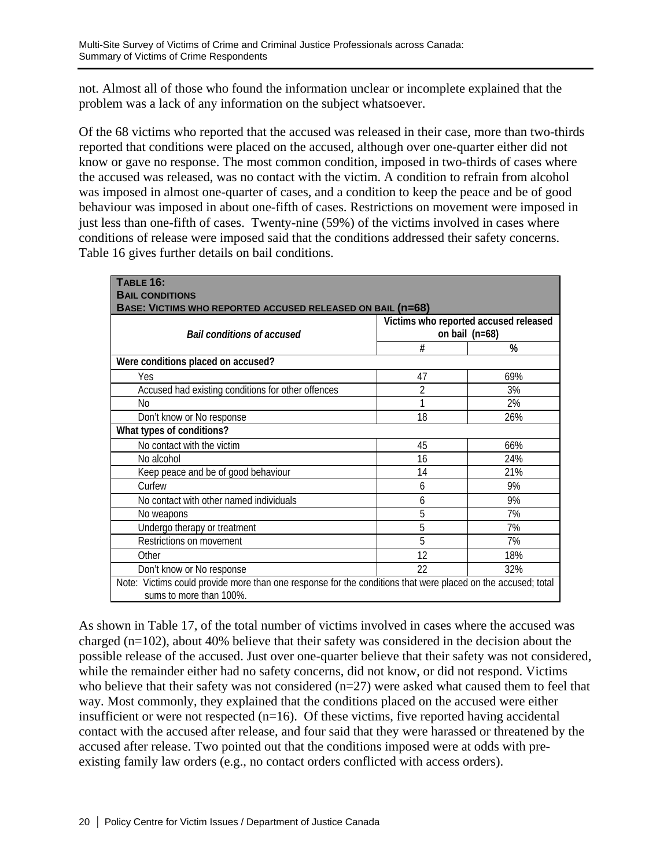not. Almost all of those who found the information unclear or incomplete explained that the problem was a lack of any information on the subject whatsoever.

Of the 68 victims who reported that the accused was released in their case, more than two-thirds reported that conditions were placed on the accused, although over one-quarter either did not know or gave no response. The most common condition, imposed in two-thirds of cases where the accused was released, was no contact with the victim. A condition to refrain from alcohol was imposed in almost one-quarter of cases, and a condition to keep the peace and be of good behaviour was imposed in about one-fifth of cases. Restrictions on movement were imposed in just less than one-fifth of cases. Twenty-nine (59%) of the victims involved in cases where conditions of release were imposed said that the conditions addressed their safety concerns. Table 16 gives further details on bail conditions.

| TABLE 16:<br><b>BAIL CONDITIONS</b><br>BASE: VICTIMS WHO REPORTED ACCUSED RELEASED ON BAIL (n=68)                                       |    |                                                           |  |  |
|-----------------------------------------------------------------------------------------------------------------------------------------|----|-----------------------------------------------------------|--|--|
| <b>Bail conditions of accused</b>                                                                                                       |    | Victims who reported accused released<br>on bail $(n=68)$ |  |  |
|                                                                                                                                         | #  | %                                                         |  |  |
| Were conditions placed on accused?                                                                                                      |    |                                                           |  |  |
| Yes                                                                                                                                     | 47 | 69%                                                       |  |  |
| Accused had existing conditions for other offences                                                                                      | 2  | 3%                                                        |  |  |
| No                                                                                                                                      |    | 2%                                                        |  |  |
| Don't know or No response                                                                                                               | 18 | 26%                                                       |  |  |
| What types of conditions?                                                                                                               |    |                                                           |  |  |
| No contact with the victim                                                                                                              | 45 | 66%                                                       |  |  |
| No alcohol                                                                                                                              | 16 | 24%                                                       |  |  |
| Keep peace and be of good behaviour                                                                                                     | 14 | 21%                                                       |  |  |
| Curfew                                                                                                                                  | 6  | 9%                                                        |  |  |
| No contact with other named individuals                                                                                                 | 6  | 9%                                                        |  |  |
| No weapons                                                                                                                              | 5  | 7%                                                        |  |  |
| Undergo therapy or treatment                                                                                                            | 5  | 7%                                                        |  |  |
| Restrictions on movement                                                                                                                | 5  | 7%                                                        |  |  |
| Other                                                                                                                                   | 12 | 18%                                                       |  |  |
| Don't know or No response                                                                                                               | 22 | 32%                                                       |  |  |
| Note: Victims could provide more than one response for the conditions that were placed on the accused; total<br>sums to more than 100%. |    |                                                           |  |  |

As shown in Table 17, of the total number of victims involved in cases where the accused was charged (n=102), about 40% believe that their safety was considered in the decision about the possible release of the accused. Just over one-quarter believe that their safety was not considered, while the remainder either had no safety concerns, did not know, or did not respond. Victims who believe that their safety was not considered (n=27) were asked what caused them to feel that way. Most commonly, they explained that the conditions placed on the accused were either insufficient or were not respected  $(n=16)$ . Of these victims, five reported having accidental contact with the accused after release, and four said that they were harassed or threatened by the accused after release. Two pointed out that the conditions imposed were at odds with preexisting family law orders (e.g., no contact orders conflicted with access orders).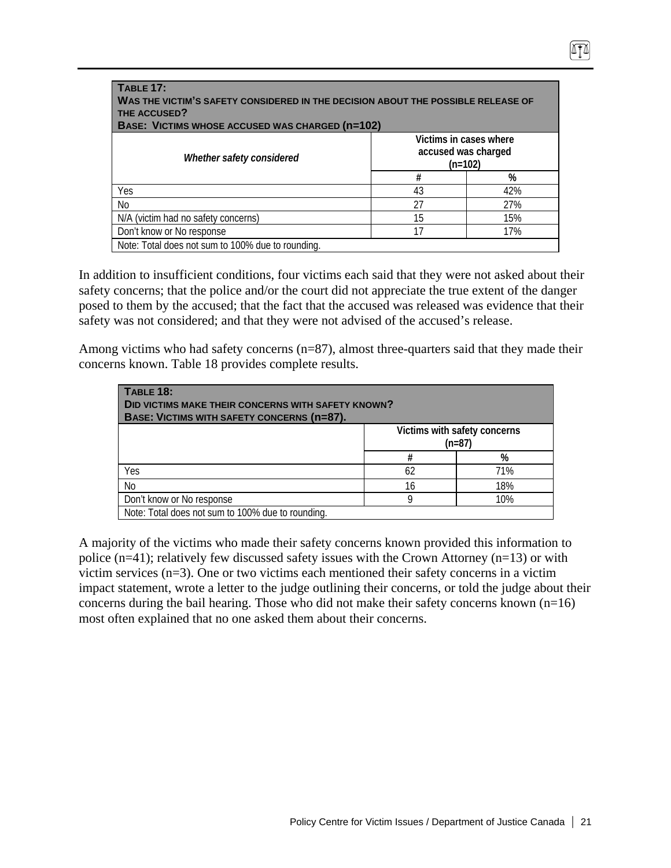| <b>TABLE 17:</b><br>WAS THE VICTIM'S SAFETY CONSIDERED IN THE DECISION ABOUT THE POSSIBLE RELEASE OF<br>THE ACCUSED?<br><b>BASE: VICTIMS WHOSE ACCUSED WAS CHARGED (n=102)</b> |                     |                                     |  |  |
|--------------------------------------------------------------------------------------------------------------------------------------------------------------------------------|---------------------|-------------------------------------|--|--|
| Whether safety considered                                                                                                                                                      | accused was charged | Victims in cases where<br>$(n=102)$ |  |  |
|                                                                                                                                                                                | #                   | %                                   |  |  |
| Yes                                                                                                                                                                            | 43                  | 42%                                 |  |  |
| N <sub>0</sub>                                                                                                                                                                 | 27                  | 27%                                 |  |  |
| N/A (victim had no safety concerns)                                                                                                                                            | 15                  | 15%                                 |  |  |
| Don't know or No response<br>17<br>17%                                                                                                                                         |                     |                                     |  |  |
| Note: Total does not sum to 100% due to rounding.                                                                                                                              |                     |                                     |  |  |

In addition to insufficient conditions, four victims each said that they were not asked about their safety concerns; that the police and/or the court did not appreciate the true extent of the danger posed to them by the accused; that the fact that the accused was released was evidence that their safety was not considered; and that they were not advised of the accused's release.

Among victims who had safety concerns (n=87), almost three-quarters said that they made their concerns known. Table 18 provides complete results.

| <b>TABLE 18:</b><br><b>DID VICTIMS MAKE THEIR CONCERNS WITH SAFETY KNOWN?</b><br>BASE: VICTIMS WITH SAFETY CONCERNS (n=87). |    |                                          |
|-----------------------------------------------------------------------------------------------------------------------------|----|------------------------------------------|
|                                                                                                                             |    | Victims with safety concerns<br>$(n=87)$ |
|                                                                                                                             | #  | %                                        |
| Yes                                                                                                                         | 62 | 71%                                      |
| No                                                                                                                          | 16 | 18%                                      |
| Don't know or No response                                                                                                   | Q  | 10%                                      |
| Note: Total does not sum to 100% due to rounding.                                                                           |    |                                          |

A majority of the victims who made their safety concerns known provided this information to police (n=41); relatively few discussed safety issues with the Crown Attorney (n=13) or with victim services (n=3). One or two victims each mentioned their safety concerns in a victim impact statement, wrote a letter to the judge outlining their concerns, or told the judge about their concerns during the bail hearing. Those who did not make their safety concerns known  $(n=16)$ most often explained that no one asked them about their concerns.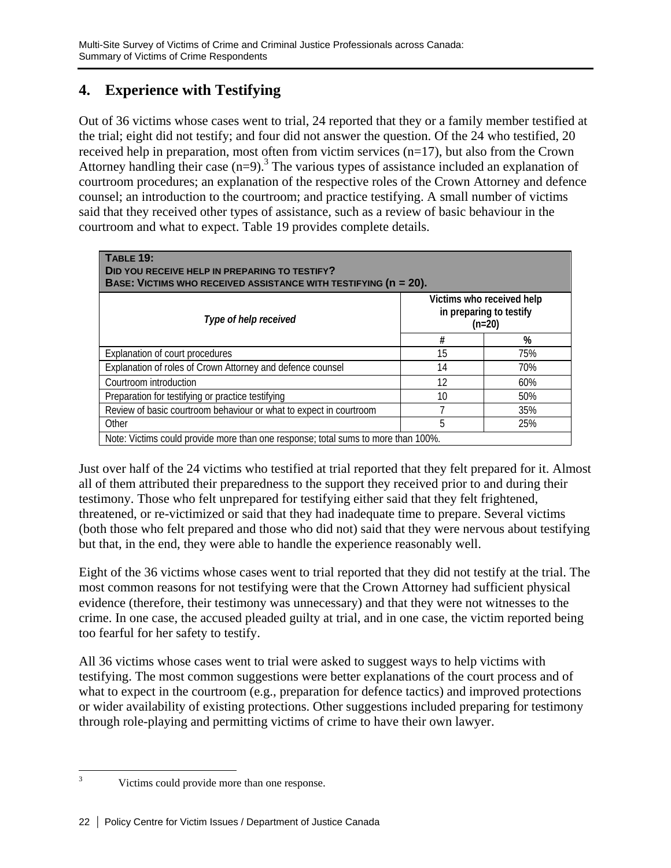# **4. Experience with Testifying**

Out of 36 victims whose cases went to trial, 24 reported that they or a family member testified at the trial; eight did not testify; and four did not answer the question. Of the 24 who testified, 20 received help in preparation, most often from victim services (n=17), but also from the Crown Attorney handling their case  $(n=9)$ .<sup>3</sup> The various types of assistance included an explanation of courtroom procedures; an explanation of the respective roles of the Crown Attorney and defence counsel; an introduction to the courtroom; and practice testifying. A small number of victims said that they received other types of assistance, such as a review of basic behaviour in the courtroom and what to expect. Table 19 provides complete details.

| <b>TABLE 19:</b><br>DID YOU RECEIVE HELP IN PREPARING TO TESTIFY?<br>BASE: VICTIMS WHO RECEIVED ASSISTANCE WITH TESTIFYING (n = 20). |    |                                                                  |  |
|--------------------------------------------------------------------------------------------------------------------------------------|----|------------------------------------------------------------------|--|
| Type of help received                                                                                                                |    | Victims who received help<br>in preparing to testify<br>$(n=20)$ |  |
|                                                                                                                                      | #  | %                                                                |  |
| Explanation of court procedures                                                                                                      | 15 | 75%                                                              |  |
| Explanation of roles of Crown Attorney and defence counsel                                                                           | 14 | 70%                                                              |  |
| Courtroom introduction                                                                                                               | 12 | 60%                                                              |  |
| Preparation for testifying or practice testifying                                                                                    | 10 | 50%                                                              |  |
| Review of basic courtroom behaviour or what to expect in courtroom                                                                   |    | 35%                                                              |  |
| Other                                                                                                                                | 5  | 25%                                                              |  |
| Note: Victims could provide more than one response; total sums to more than 100%.                                                    |    |                                                                  |  |

Just over half of the 24 victims who testified at trial reported that they felt prepared for it. Almost all of them attributed their preparedness to the support they received prior to and during their testimony. Those who felt unprepared for testifying either said that they felt frightened, threatened, or re-victimized or said that they had inadequate time to prepare. Several victims (both those who felt prepared and those who did not) said that they were nervous about testifying but that, in the end, they were able to handle the experience reasonably well.

Eight of the 36 victims whose cases went to trial reported that they did not testify at the trial. The most common reasons for not testifying were that the Crown Attorney had sufficient physical evidence (therefore, their testimony was unnecessary) and that they were not witnesses to the crime. In one case, the accused pleaded guilty at trial, and in one case, the victim reported being too fearful for her safety to testify.

All 36 victims whose cases went to trial were asked to suggest ways to help victims with testifying. The most common suggestions were better explanations of the court process and of what to expect in the courtroom (e.g., preparation for defence tactics) and improved protections or wider availability of existing protections. Other suggestions included preparing for testimony through role-playing and permitting victims of crime to have their own lawyer.

 $\frac{1}{3}$ Victims could provide more than one response.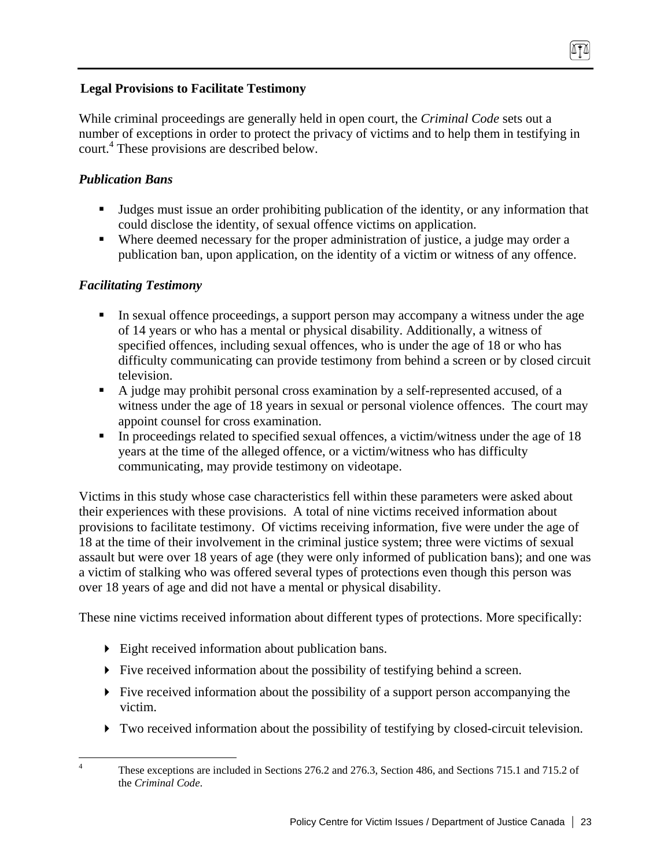# **Legal Provisions to Facilitate Testimony**

While criminal proceedings are generally held in open court, the *Criminal Code* sets out a number of exceptions in order to protect the privacy of victims and to help them in testifying in court.4 These provisions are described below.

# *Publication Bans*

- Judges must issue an order prohibiting publication of the identity, or any information that could disclose the identity, of sexual offence victims on application.
- Where deemed necessary for the proper administration of justice, a judge may order a publication ban, upon application, on the identity of a victim or witness of any offence.

# *Facilitating Testimony*

- In sexual offence proceedings, a support person may accompany a witness under the age of 14 years or who has a mental or physical disability. Additionally, a witness of specified offences, including sexual offences, who is under the age of 18 or who has difficulty communicating can provide testimony from behind a screen or by closed circuit television.
- A judge may prohibit personal cross examination by a self-represented accused, of a witness under the age of 18 years in sexual or personal violence offences. The court may appoint counsel for cross examination.
- In proceedings related to specified sexual offences, a victim/witness under the age of 18 years at the time of the alleged offence, or a victim/witness who has difficulty communicating, may provide testimony on videotape.

Victims in this study whose case characteristics fell within these parameters were asked about their experiences with these provisions. A total of nine victims received information about provisions to facilitate testimony. Of victims receiving information, five were under the age of 18 at the time of their involvement in the criminal justice system; three were victims of sexual assault but were over 18 years of age (they were only informed of publication bans); and one was a victim of stalking who was offered several types of protections even though this person was over 18 years of age and did not have a mental or physical disability.

These nine victims received information about different types of protections. More specifically:

- Eight received information about publication bans.
- $\blacktriangleright$  Five received information about the possibility of testifying behind a screen.
- $\blacktriangleright$  Five received information about the possibility of a support person accompanying the victim.
- Two received information about the possibility of testifying by closed-circuit television.

 $\frac{1}{4}$  These exceptions are included in Sections 276.2 and 276.3, Section 486, and Sections 715.1 and 715.2 of the *Criminal Code*.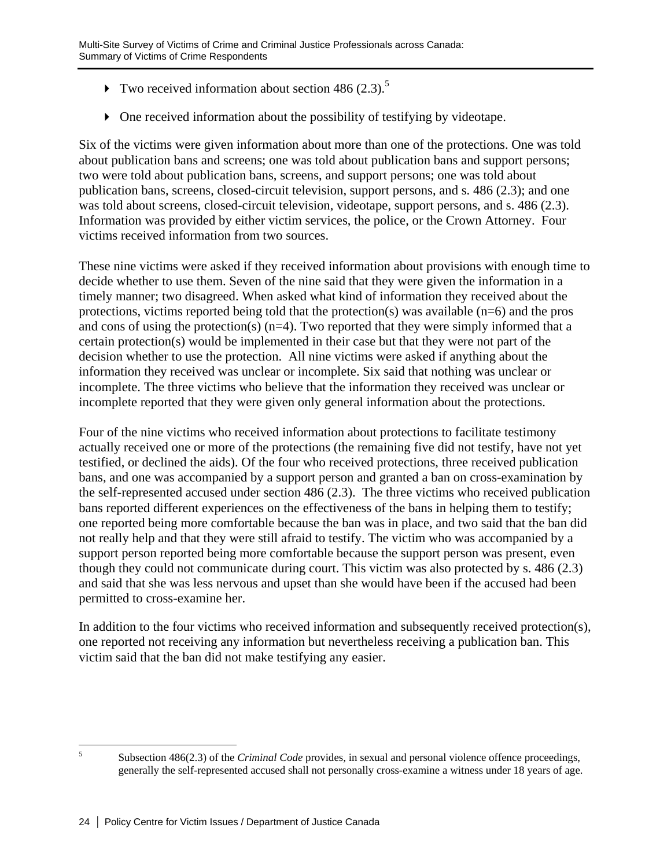- Two received information about section 486  $(2.3)$ .<sup>5</sup>
- One received information about the possibility of testifying by videotape.

Six of the victims were given information about more than one of the protections. One was told about publication bans and screens; one was told about publication bans and support persons; two were told about publication bans, screens, and support persons; one was told about publication bans, screens, closed-circuit television, support persons, and s. 486 (2.3); and one was told about screens, closed-circuit television, videotape, support persons, and s. 486 (2.3). Information was provided by either victim services, the police, or the Crown Attorney. Four victims received information from two sources.

These nine victims were asked if they received information about provisions with enough time to decide whether to use them. Seven of the nine said that they were given the information in a timely manner; two disagreed. When asked what kind of information they received about the protections, victims reported being told that the protection(s) was available  $(n=6)$  and the pros and cons of using the protection(s)  $(n=4)$ . Two reported that they were simply informed that a certain protection(s) would be implemented in their case but that they were not part of the decision whether to use the protection. All nine victims were asked if anything about the information they received was unclear or incomplete. Six said that nothing was unclear or incomplete. The three victims who believe that the information they received was unclear or incomplete reported that they were given only general information about the protections.

Four of the nine victims who received information about protections to facilitate testimony actually received one or more of the protections (the remaining five did not testify, have not yet testified, or declined the aids). Of the four who received protections, three received publication bans, and one was accompanied by a support person and granted a ban on cross-examination by the self-represented accused under section 486 (2.3). The three victims who received publication bans reported different experiences on the effectiveness of the bans in helping them to testify; one reported being more comfortable because the ban was in place, and two said that the ban did not really help and that they were still afraid to testify. The victim who was accompanied by a support person reported being more comfortable because the support person was present, even though they could not communicate during court. This victim was also protected by s. 486 (2.3) and said that she was less nervous and upset than she would have been if the accused had been permitted to cross-examine her.

In addition to the four victims who received information and subsequently received protection(s), one reported not receiving any information but nevertheless receiving a publication ban. This victim said that the ban did not make testifying any easier.

 5

Subsection 486(2.3) of the *Criminal Code* provides, in sexual and personal violence offence proceedings, generally the self-represented accused shall not personally cross-examine a witness under 18 years of age.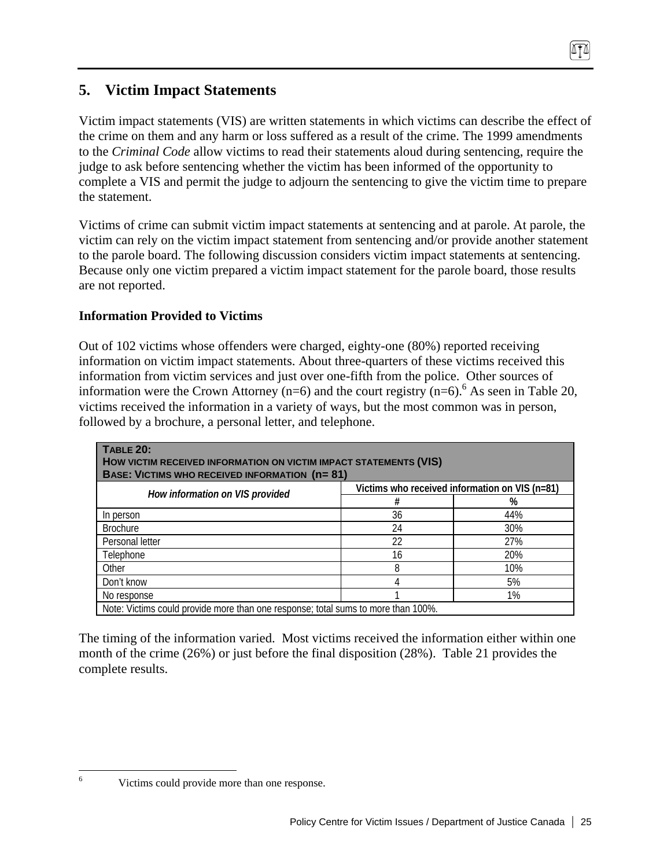# **5. Victim Impact Statements**

Victim impact statements (VIS) are written statements in which victims can describe the effect of the crime on them and any harm or loss suffered as a result of the crime. The 1999 amendments to the *Criminal Code* allow victims to read their statements aloud during sentencing, require the judge to ask before sentencing whether the victim has been informed of the opportunity to complete a VIS and permit the judge to adjourn the sentencing to give the victim time to prepare the statement.

Victims of crime can submit victim impact statements at sentencing and at parole. At parole, the victim can rely on the victim impact statement from sentencing and/or provide another statement to the parole board. The following discussion considers victim impact statements at sentencing. Because only one victim prepared a victim impact statement for the parole board, those results are not reported.

# **Information Provided to Victims**

Out of 102 victims whose offenders were charged, eighty-one (80%) reported receiving information on victim impact statements. About three-quarters of these victims received this information from victim services and just over one-fifth from the police. Other sources of information were the Crown Attorney (n=6) and the court registry (n=6). <sup>6</sup> As seen in Table 20, victims received the information in a variety of ways, but the most common was in person, followed by a brochure, a personal letter, and telephone.

| <b>TABLE 20:</b><br>HOW VICTIM RECEIVED INFORMATION ON VICTIM IMPACT STATEMENTS (VIS)<br><b>BASE: VICTIMS WHO RECEIVED INFORMATION (n=81)</b> |    |     |  |
|-----------------------------------------------------------------------------------------------------------------------------------------------|----|-----|--|
| Victims who received information on VIS (n=81)                                                                                                |    |     |  |
| How information on VIS provided                                                                                                               | #  | %   |  |
| In person                                                                                                                                     | 36 | 44% |  |
| <b>Brochure</b>                                                                                                                               | 24 | 30% |  |
| Personal letter                                                                                                                               | 22 | 27% |  |
| Telephone                                                                                                                                     | 16 | 20% |  |
| Other                                                                                                                                         | 8  | 10% |  |
| Don't know                                                                                                                                    |    | 5%  |  |
| No response                                                                                                                                   |    | 1%  |  |
| Note: Victims could provide more than one response; total sums to more than 100%.                                                             |    |     |  |

The timing of the information varied. Most victims received the information either within one month of the crime (26%) or just before the final disposition (28%). Table 21 provides the complete results.

6

Victims could provide more than one response.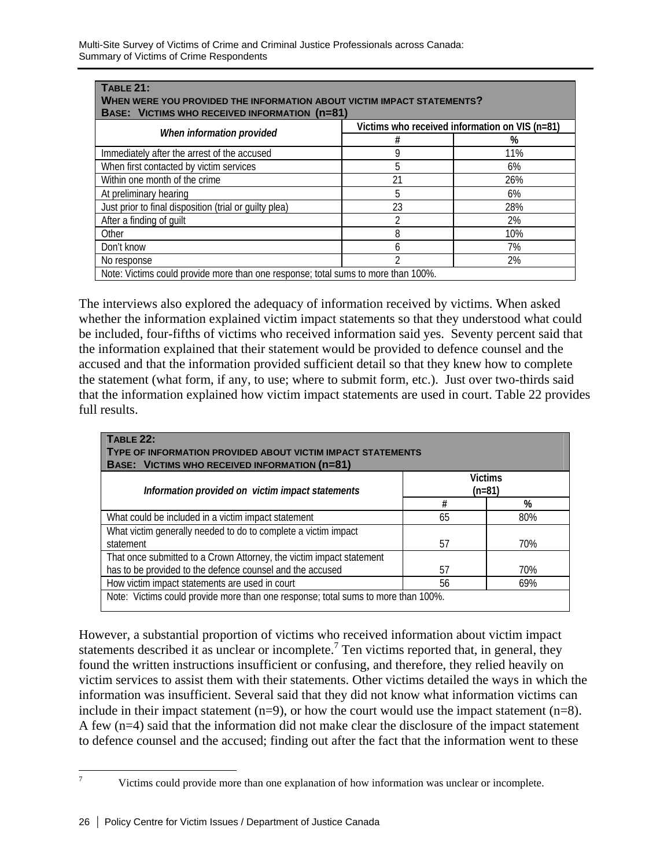| <b>TABLE 21:</b><br>WHEN WERE YOU PROVIDED THE INFORMATION ABOUT VICTIM IMPACT STATEMENTS?<br><b>BASE: VICTIMS WHO RECEIVED INFORMATION (n=81)</b> |    |     |  |
|----------------------------------------------------------------------------------------------------------------------------------------------------|----|-----|--|
| Victims who received information on VIS (n=81)<br>When information provided                                                                        |    |     |  |
|                                                                                                                                                    | #  | %   |  |
| Immediately after the arrest of the accused                                                                                                        | g  | 11% |  |
| When first contacted by victim services                                                                                                            | 5  | 6%  |  |
| Within one month of the crime                                                                                                                      | 21 | 26% |  |
| At preliminary hearing                                                                                                                             | 5  | 6%  |  |
| Just prior to final disposition (trial or quilty plea)                                                                                             | 23 | 28% |  |
| After a finding of quilt                                                                                                                           | า  | 2%  |  |
| Other                                                                                                                                              | 8  | 10% |  |
| Don't know                                                                                                                                         | n  | 7%  |  |
| No response                                                                                                                                        | ኅ  | 2%  |  |
| Note: Victims could provide more than one response; total sums to more than 100%.                                                                  |    |     |  |

The interviews also explored the adequacy of information received by victims. When asked whether the information explained victim impact statements so that they understood what could be included, four-fifths of victims who received information said yes. Seventy percent said that the information explained that their statement would be provided to defence counsel and the accused and that the information provided sufficient detail so that they knew how to complete the statement (what form, if any, to use; where to submit form, etc.). Just over two-thirds said that the information explained how victim impact statements are used in court. Table 22 provides full results.

| <b>TABLE 22:</b><br><b>TYPE OF INFORMATION PROVIDED ABOUT VICTIM IMPACT STATEMENTS</b><br><b>BASE: VICTIMS WHO RECEIVED INFORMATION (N=81)</b> |    |                            |  |
|------------------------------------------------------------------------------------------------------------------------------------------------|----|----------------------------|--|
| Information provided on victim impact statements                                                                                               |    | <b>Victims</b><br>$(n=81)$ |  |
|                                                                                                                                                | #  | %                          |  |
| What could be included in a victim impact statement                                                                                            | 65 | 80%                        |  |
| What victim generally needed to do to complete a victim impact<br>statement                                                                    | 57 | 70%                        |  |
| That once submitted to a Crown Attorney, the victim impact statement<br>has to be provided to the defence counsel and the accused              | 57 | 70%                        |  |
| How victim impact statements are used in court<br>56<br>69%                                                                                    |    |                            |  |
| Note: Victims could provide more than one response; total sums to more than 100%.                                                              |    |                            |  |

However, a substantial proportion of victims who received information about victim impact statements described it as unclear or incomplete.<sup>7</sup> Ten victims reported that, in general, they found the written instructions insufficient or confusing, and therefore, they relied heavily on victim services to assist them with their statements. Other victims detailed the ways in which the information was insufficient. Several said that they did not know what information victims can include in their impact statement (n=9), or how the court would use the impact statement (n=8). A few (n=4) said that the information did not make clear the disclosure of the impact statement to defence counsel and the accused; finding out after the fact that the information went to these

—<br>7

Victims could provide more than one explanation of how information was unclear or incomplete.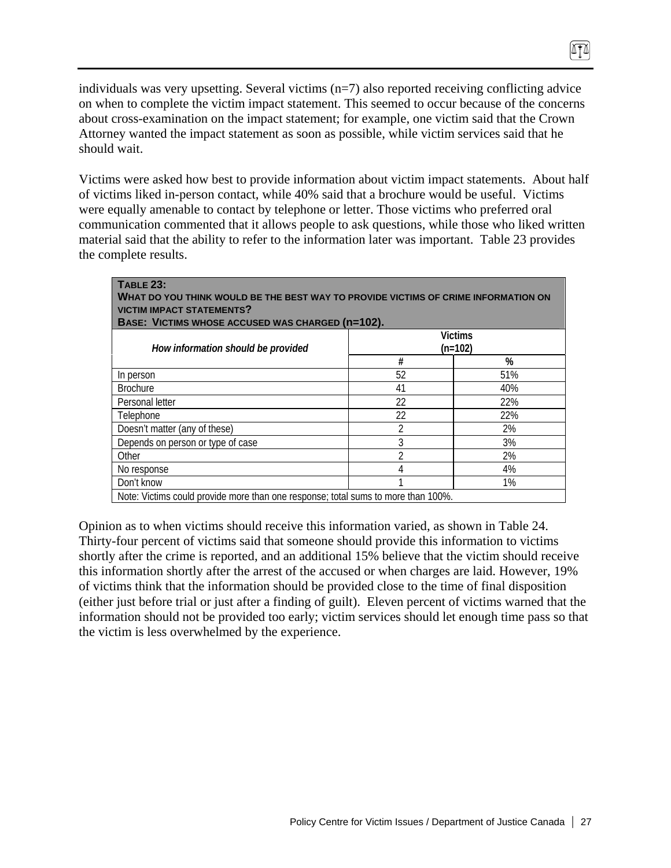individuals was very upsetting. Several victims (n=7) also reported receiving conflicting advice on when to complete the victim impact statement. This seemed to occur because of the concerns about cross-examination on the impact statement; for example, one victim said that the Crown Attorney wanted the impact statement as soon as possible, while victim services said that he should wait.

m

Victims were asked how best to provide information about victim impact statements. About half of victims liked in-person contact, while 40% said that a brochure would be useful. Victims were equally amenable to contact by telephone or letter. Those victims who preferred oral communication commented that it allows people to ask questions, while those who liked written material said that the ability to refer to the information later was important. Table 23 provides the complete results.

| <b>TABLE 23:</b><br>WHAT DO YOU THINK WOULD BE THE BEST WAY TO PROVIDE VICTIMS OF CRIME INFORMATION ON<br><b>VICTIM IMPACT STATEMENTS?</b><br>BASE: VICTIMS WHOSE ACCUSED WAS CHARGED (n=102). |                |     |  |
|------------------------------------------------------------------------------------------------------------------------------------------------------------------------------------------------|----------------|-----|--|
| <b>Victims</b><br>$(n=102)$                                                                                                                                                                    |                |     |  |
| How information should be provided                                                                                                                                                             | #              | %   |  |
| In person                                                                                                                                                                                      | 52             | 51% |  |
| <b>Brochure</b>                                                                                                                                                                                | 41             | 40% |  |
| Personal letter                                                                                                                                                                                | 22             | 22% |  |
| Telephone                                                                                                                                                                                      | 22             | 22% |  |
| Doesn't matter (any of these)                                                                                                                                                                  | $\mathfrak{D}$ | 2%  |  |
| Depends on person or type of case                                                                                                                                                              | 3              | 3%  |  |
| Other                                                                                                                                                                                          | 2              | 2%  |  |
| No response                                                                                                                                                                                    | 4              | 4%  |  |
| Don't know                                                                                                                                                                                     |                | 1%  |  |
| Note: Victims could provide more than one response; total sums to more than 100%.                                                                                                              |                |     |  |

Opinion as to when victims should receive this information varied, as shown in Table 24. Thirty-four percent of victims said that someone should provide this information to victims shortly after the crime is reported, and an additional 15% believe that the victim should receive this information shortly after the arrest of the accused or when charges are laid. However, 19% of victims think that the information should be provided close to the time of final disposition (either just before trial or just after a finding of guilt). Eleven percent of victims warned that the information should not be provided too early; victim services should let enough time pass so that the victim is less overwhelmed by the experience.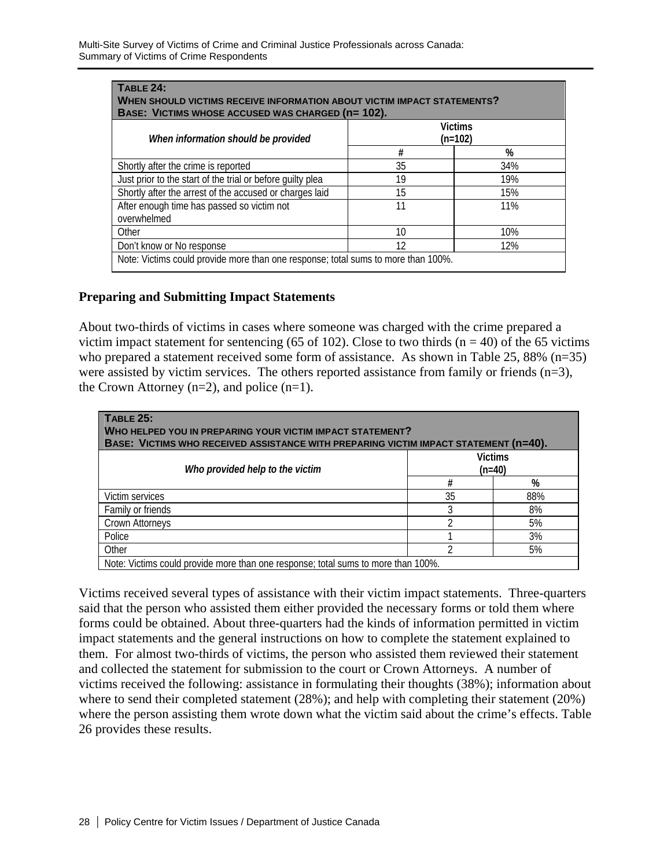| <b>TABLE 24:</b><br>WHEN SHOULD VICTIMS RECEIVE INFORMATION ABOUT VICTIM IMPACT STATEMENTS?<br>BASE: VICTIMS WHOSE ACCUSED WAS CHARGED (n= 102). |    |     |  |
|--------------------------------------------------------------------------------------------------------------------------------------------------|----|-----|--|
| <b>Victims</b><br>(n=102)<br>When information should be provided                                                                                 |    |     |  |
|                                                                                                                                                  | #  | %   |  |
| Shortly after the crime is reported                                                                                                              | 35 | 34% |  |
| Just prior to the start of the trial or before quilty plea                                                                                       | 19 | 19% |  |
| Shortly after the arrest of the accused or charges laid                                                                                          | 15 | 15% |  |
| After enough time has passed so victim not<br>overwhelmed                                                                                        | 11 | 11% |  |
| Other                                                                                                                                            | 10 | 10% |  |
| Don't know or No response                                                                                                                        | 12 | 12% |  |
| Note: Victims could provide more than one response; total sums to more than 100%.                                                                |    |     |  |

### **Preparing and Submitting Impact Statements**

About two-thirds of victims in cases where someone was charged with the crime prepared a victim impact statement for sentencing (65 of 102). Close to two thirds ( $n = 40$ ) of the 65 victims who prepared a statement received some form of assistance. As shown in Table 25, 88% (n=35) were assisted by victim services. The others reported assistance from family or friends (n=3), the Crown Attorney  $(n=2)$ , and police  $(n=1)$ .

| <b>TABLE 25:</b><br>WHO HELPED YOU IN PREPARING YOUR VICTIM IMPACT STATEMENT?<br>BASE: VICTIMS WHO RECEIVED ASSISTANCE WITH PREPARING VICTIM IMPACT STATEMENT (n=40). |    |                            |  |
|-----------------------------------------------------------------------------------------------------------------------------------------------------------------------|----|----------------------------|--|
| Who provided help to the victim                                                                                                                                       |    | <b>Victims</b><br>$(n=40)$ |  |
|                                                                                                                                                                       | #  | %                          |  |
| Victim services                                                                                                                                                       | 35 | 88%                        |  |
| Family or friends                                                                                                                                                     | 3  | 8%                         |  |
| Crown Attorneys                                                                                                                                                       |    | 5%                         |  |
| Police                                                                                                                                                                |    | 3%                         |  |
| Other                                                                                                                                                                 | ำ  | 5%                         |  |
| Note: Victims could provide more than one response; total sums to more than 100%.                                                                                     |    |                            |  |

Victims received several types of assistance with their victim impact statements. Three-quarters said that the person who assisted them either provided the necessary forms or told them where forms could be obtained. About three-quarters had the kinds of information permitted in victim impact statements and the general instructions on how to complete the statement explained to them. For almost two-thirds of victims, the person who assisted them reviewed their statement and collected the statement for submission to the court or Crown Attorneys. A number of victims received the following: assistance in formulating their thoughts (38%); information about where to send their completed statement (28%); and help with completing their statement (20%) where the person assisting them wrote down what the victim said about the crime's effects. Table 26 provides these results.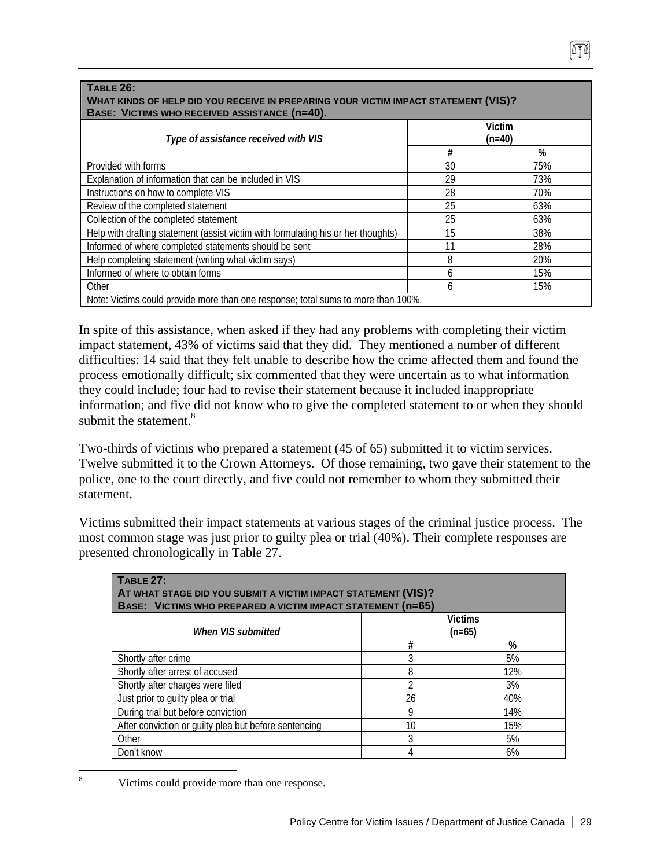#### **TABLE 26: WHAT KINDS OF HELP DID YOU RECEIVE IN PREPARING YOUR VICTIM IMPACT STATEMENT (VIS)? BASE: VICTIMS WHO RECEIVED ASSISTANCE (n=40). Victim**  *Type of assistance received with VIS* **(n=40) # %**  Provided with forms 30 75% Explanation of information that can be included in VIS  $\vert$  29 73% Instructions on how to complete VIS 28 28 70%

Review of the completed statement 25 and 25 and 25 for 28% Collection of the completed statement 25 63% Help with drafting statement (assist victim with formulating his or her thoughts) | 15 | 38% Informed of where completed statements should be sent 11 1 28% Help completing statement (writing what victim says) and the statement of the same statement of the same statement of the same statement of the same statement of the same statement of the same statement of the statement of Informed of where to obtain forms 6 15% Other 6 15% and 15% and 15% and 15% and 15% and 15% and 15% and 15% and 15% and 15% and 15% and 15% and 15% an

Note: Victims could provide more than one response; total sums to more than 100%.

| In spite of this assistance, when asked if they had any problems with completing their victim     |
|---------------------------------------------------------------------------------------------------|
| impact statement, 43% of victims said that they did. They mentioned a number of different         |
| difficulties: 14 said that they felt unable to describe how the crime affected them and found the |
| process emotionally difficult; six commented that they were uncertain as to what information      |
| they could include; four had to revise their statement because it included inappropriate          |
| information; and five did not know who to give the completed statement to or when they should     |
| submit the statement. <sup>8</sup>                                                                |

Two-thirds of victims who prepared a statement (45 of 65) submitted it to victim services. Twelve submitted it to the Crown Attorneys. Of those remaining, two gave their statement to the police, one to the court directly, and five could not remember to whom they submitted their statement.

Victims submitted their impact statements at various stages of the criminal justice process. The most common stage was just prior to guilty plea or trial (40%). Their complete responses are presented chronologically in Table 27.

| <b>TABLE 27:</b><br>AT WHAT STAGE DID YOU SUBMIT A VICTIM IMPACT STATEMENT (VIS)?<br>BASE: VICTIMS WHO PREPARED A VICTIM IMPACT STATEMENT (n=65) |                |     |  |
|--------------------------------------------------------------------------------------------------------------------------------------------------|----------------|-----|--|
| <b>Victims</b><br>$(n=65)$<br>When VIS submitted                                                                                                 |                |     |  |
|                                                                                                                                                  | #              | %   |  |
| Shortly after crime                                                                                                                              | 3              | 5%  |  |
| Shortly after arrest of accused                                                                                                                  | 8              | 12% |  |
| Shortly after charges were filed                                                                                                                 | $\mathfrak{D}$ | 3%  |  |
| Just prior to guilty plea or trial                                                                                                               | 26             | 40% |  |
| During trial but before conviction                                                                                                               | 9              | 14% |  |
| After conviction or guilty plea but before sentencing                                                                                            | 10             | 15% |  |
| Other                                                                                                                                            | 3              | 5%  |  |
| Don't know                                                                                                                                       | 4              | 6%  |  |

 8 Victims could provide more than one response.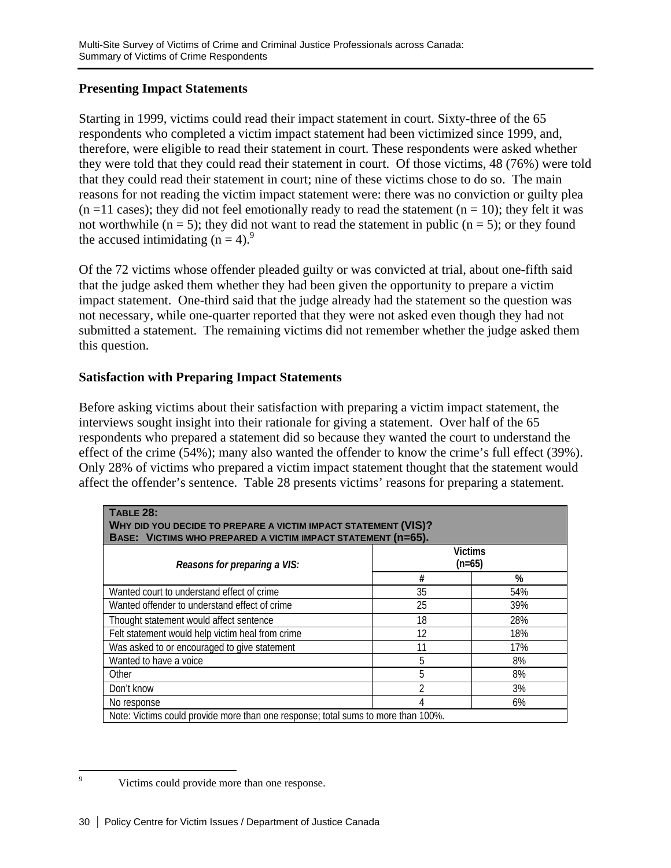# **Presenting Impact Statements**

Starting in 1999, victims could read their impact statement in court. Sixty-three of the 65 respondents who completed a victim impact statement had been victimized since 1999, and, therefore, were eligible to read their statement in court. These respondents were asked whether they were told that they could read their statement in court. Of those victims, 48 (76%) were told that they could read their statement in court; nine of these victims chose to do so. The main reasons for not reading the victim impact statement were: there was no conviction or guilty plea  $(n = 11 \text{ cases})$ ; they did not feel emotionally ready to read the statement  $(n = 10)$ ; they felt it was not worthwhile ( $n = 5$ ); they did not want to read the statement in public ( $n = 5$ ); or they found the accused intimidating  $(n = 4)$ .<sup>9</sup>

Of the 72 victims whose offender pleaded guilty or was convicted at trial, about one-fifth said that the judge asked them whether they had been given the opportunity to prepare a victim impact statement. One-third said that the judge already had the statement so the question was not necessary, while one-quarter reported that they were not asked even though they had not submitted a statement. The remaining victims did not remember whether the judge asked them this question.

# **Satisfaction with Preparing Impact Statements**

Before asking victims about their satisfaction with preparing a victim impact statement, the interviews sought insight into their rationale for giving a statement. Over half of the 65 respondents who prepared a statement did so because they wanted the court to understand the effect of the crime (54%); many also wanted the offender to know the crime's full effect (39%). Only 28% of victims who prepared a victim impact statement thought that the statement would affect the offender's sentence. Table 28 presents victims' reasons for preparing a statement.

| <b>TABLE 28:</b><br>WHY DID YOU DECIDE TO PREPARE A VICTIM IMPACT STATEMENT (VIS)?<br>BASE: VICTIMS WHO PREPARED A VICTIM IMPACT STATEMENT (n=65). |    |     |  |
|----------------------------------------------------------------------------------------------------------------------------------------------------|----|-----|--|
| <b>Victims</b><br>$(n=65)$<br>Reasons for preparing a VIS:                                                                                         |    |     |  |
|                                                                                                                                                    | #  | %   |  |
| Wanted court to understand effect of crime                                                                                                         | 35 | 54% |  |
| Wanted offender to understand effect of crime                                                                                                      | 25 | 39% |  |
| Thought statement would affect sentence                                                                                                            | 18 | 28% |  |
| Felt statement would help victim heal from crime                                                                                                   | 12 | 18% |  |
| Was asked to or encouraged to give statement                                                                                                       | 11 | 17% |  |
| Wanted to have a voice                                                                                                                             | 5  | 8%  |  |
| Other                                                                                                                                              | 5  | 8%  |  |
| Don't know                                                                                                                                         | 2  | 3%  |  |
| 6%<br>No response                                                                                                                                  |    |     |  |
| Note: Victims could provide more than one response; total sums to more than 100%.                                                                  |    |     |  |

<sup>-&</sup>lt;br>9 Victims could provide more than one response.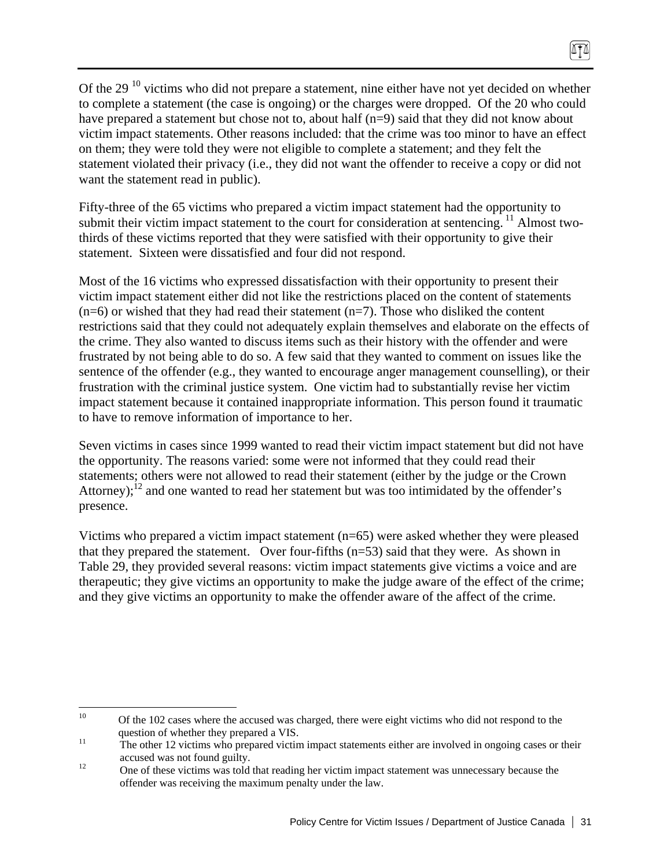Of the 29<sup>10</sup> victims who did not prepare a statement, nine either have not yet decided on whether to complete a statement (the case is ongoing) or the charges were dropped. Of the 20 who could have prepared a statement but chose not to, about half (n=9) said that they did not know about victim impact statements. Other reasons included: that the crime was too minor to have an effect on them; they were told they were not eligible to complete a statement; and they felt the statement violated their privacy (i.e., they did not want the offender to receive a copy or did not want the statement read in public).

Fifty-three of the 65 victims who prepared a victim impact statement had the opportunity to submit their victim impact statement to the court for consideration at sentencing.  $\frac{11}{11}$  Almost twothirds of these victims reported that they were satisfied with their opportunity to give their statement. Sixteen were dissatisfied and four did not respond.

Most of the 16 victims who expressed dissatisfaction with their opportunity to present their victim impact statement either did not like the restrictions placed on the content of statements  $(n=6)$  or wished that they had read their statement  $(n=7)$ . Those who disliked the content restrictions said that they could not adequately explain themselves and elaborate on the effects of the crime. They also wanted to discuss items such as their history with the offender and were frustrated by not being able to do so. A few said that they wanted to comment on issues like the sentence of the offender (e.g., they wanted to encourage anger management counselling), or their frustration with the criminal justice system. One victim had to substantially revise her victim impact statement because it contained inappropriate information. This person found it traumatic to have to remove information of importance to her.

Seven victims in cases since 1999 wanted to read their victim impact statement but did not have the opportunity. The reasons varied: some were not informed that they could read their statements; others were not allowed to read their statement (either by the judge or the Crown Attorney);<sup>12</sup> and one wanted to read her statement but was too intimidated by the offender's presence.

Victims who prepared a victim impact statement (n=65) were asked whether they were pleased that they prepared the statement. Over four-fifths  $(n=53)$  said that they were. As shown in Table 29, they provided several reasons: victim impact statements give victims a voice and are therapeutic; they give victims an opportunity to make the judge aware of the effect of the crime; and they give victims an opportunity to make the offender aware of the affect of the crime.

 $10<sup>10</sup>$ 10 Of the 102 cases where the accused was charged, there were eight victims who did not respond to the question of whether they prepared a VIS.<br>The other 12 victims who prepared victim impact statements either are involved in ongoing cases or their

accused was not found guilty.<br>
One of these victims was told that reading her victim impact statement was unnecessary because the offender was receiving the maximum penalty under the law.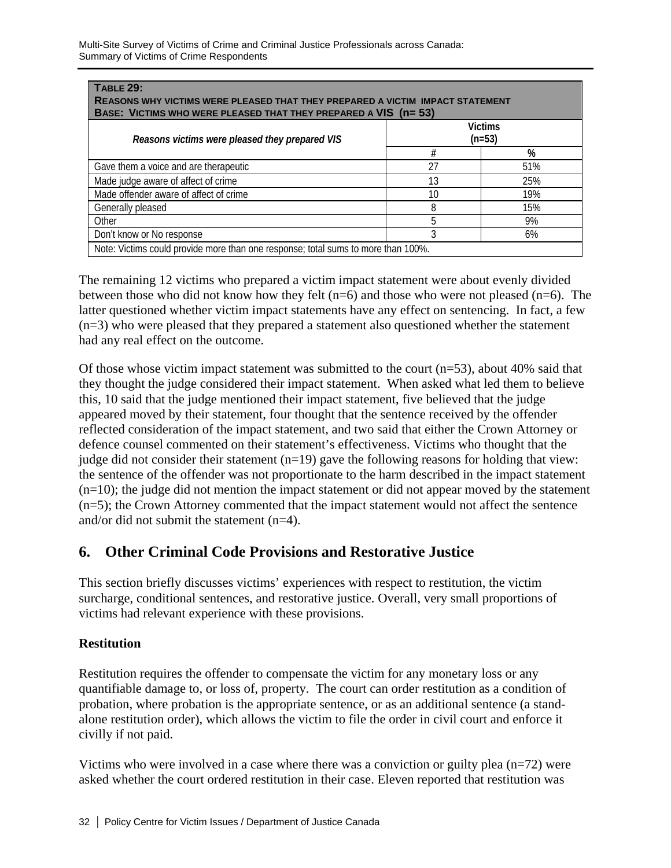| <b>TABLE 29:</b><br>REASONS WHY VICTIMS WERE PLEASED THAT THEY PREPARED A VICTIM IMPACT STATEMENT<br>BASE: VICTIMS WHO WERE PLEASED THAT THEY PREPARED A VIS (n= 53) |    |     |  |  |
|----------------------------------------------------------------------------------------------------------------------------------------------------------------------|----|-----|--|--|
| <b>Victims</b><br>Reasons victims were pleased they prepared VIS<br>$(n=53)$                                                                                         |    |     |  |  |
|                                                                                                                                                                      | #  | %   |  |  |
| Gave them a voice and are therapeutic                                                                                                                                | 27 | 51% |  |  |
| Made judge aware of affect of crime                                                                                                                                  | 13 | 25% |  |  |
| Made offender aware of affect of crime                                                                                                                               | 10 | 19% |  |  |
| Generally pleased                                                                                                                                                    | 8  | 15% |  |  |
| Other                                                                                                                                                                | 5  | 9%  |  |  |
| Don't know or No response<br>3<br>6%                                                                                                                                 |    |     |  |  |
| Note: Victims could provide more than one response; total sums to more than 100%.                                                                                    |    |     |  |  |

The remaining 12 victims who prepared a victim impact statement were about evenly divided between those who did not know how they felt  $(n=6)$  and those who were not pleased  $(n=6)$ . The latter questioned whether victim impact statements have any effect on sentencing. In fact, a few (n=3) who were pleased that they prepared a statement also questioned whether the statement had any real effect on the outcome.

Of those whose victim impact statement was submitted to the court  $(n=53)$ , about 40% said that they thought the judge considered their impact statement. When asked what led them to believe this, 10 said that the judge mentioned their impact statement, five believed that the judge appeared moved by their statement, four thought that the sentence received by the offender reflected consideration of the impact statement, and two said that either the Crown Attorney or defence counsel commented on their statement's effectiveness. Victims who thought that the judge did not consider their statement  $(n=19)$  gave the following reasons for holding that view: the sentence of the offender was not proportionate to the harm described in the impact statement  $(n=10)$ ; the judge did not mention the impact statement or did not appear moved by the statement (n=5); the Crown Attorney commented that the impact statement would not affect the sentence and/or did not submit the statement (n=4).

# **6. Other Criminal Code Provisions and Restorative Justice**

This section briefly discusses victims' experiences with respect to restitution, the victim surcharge, conditional sentences, and restorative justice. Overall, very small proportions of victims had relevant experience with these provisions.

# **Restitution**

Restitution requires the offender to compensate the victim for any monetary loss or any quantifiable damage to, or loss of, property. The court can order restitution as a condition of probation, where probation is the appropriate sentence, or as an additional sentence (a standalone restitution order), which allows the victim to file the order in civil court and enforce it civilly if not paid.

Victims who were involved in a case where there was a conviction or guilty plea (n=72) were asked whether the court ordered restitution in their case. Eleven reported that restitution was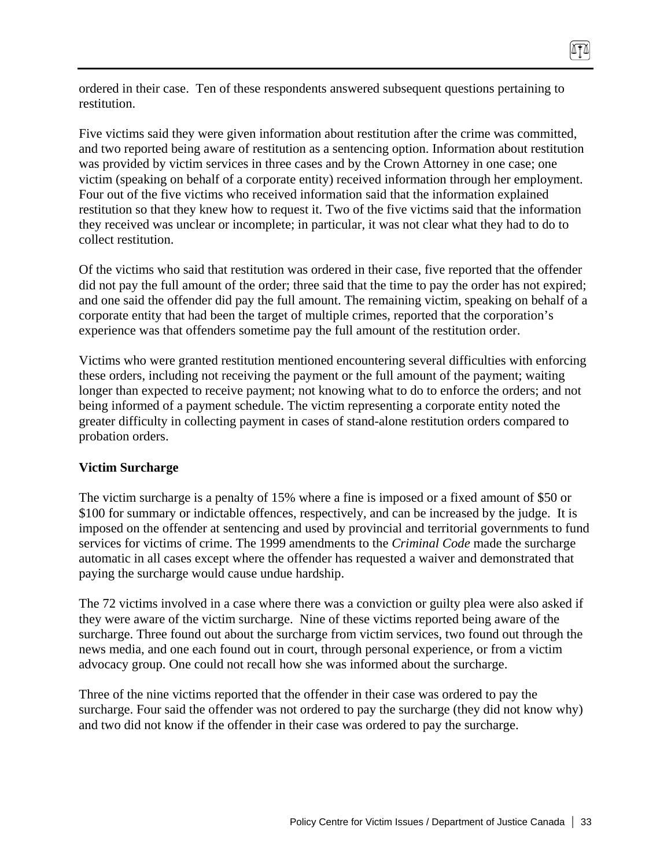ordered in their case. Ten of these respondents answered subsequent questions pertaining to restitution.

Five victims said they were given information about restitution after the crime was committed, and two reported being aware of restitution as a sentencing option. Information about restitution was provided by victim services in three cases and by the Crown Attorney in one case; one victim (speaking on behalf of a corporate entity) received information through her employment. Four out of the five victims who received information said that the information explained restitution so that they knew how to request it. Two of the five victims said that the information they received was unclear or incomplete; in particular, it was not clear what they had to do to collect restitution.

Of the victims who said that restitution was ordered in their case, five reported that the offender did not pay the full amount of the order; three said that the time to pay the order has not expired; and one said the offender did pay the full amount. The remaining victim, speaking on behalf of a corporate entity that had been the target of multiple crimes, reported that the corporation's experience was that offenders sometime pay the full amount of the restitution order.

Victims who were granted restitution mentioned encountering several difficulties with enforcing these orders, including not receiving the payment or the full amount of the payment; waiting longer than expected to receive payment; not knowing what to do to enforce the orders; and not being informed of a payment schedule. The victim representing a corporate entity noted the greater difficulty in collecting payment in cases of stand-alone restitution orders compared to probation orders.

#### **Victim Surcharge**

The victim surcharge is a penalty of 15% where a fine is imposed or a fixed amount of \$50 or \$100 for summary or indictable offences, respectively, and can be increased by the judge. It is imposed on the offender at sentencing and used by provincial and territorial governments to fund services for victims of crime. The 1999 amendments to the *Criminal Code* made the surcharge automatic in all cases except where the offender has requested a waiver and demonstrated that paying the surcharge would cause undue hardship.

The 72 victims involved in a case where there was a conviction or guilty plea were also asked if they were aware of the victim surcharge. Nine of these victims reported being aware of the surcharge. Three found out about the surcharge from victim services, two found out through the news media, and one each found out in court, through personal experience, or from a victim advocacy group. One could not recall how she was informed about the surcharge.

Three of the nine victims reported that the offender in their case was ordered to pay the surcharge. Four said the offender was not ordered to pay the surcharge (they did not know why) and two did not know if the offender in their case was ordered to pay the surcharge.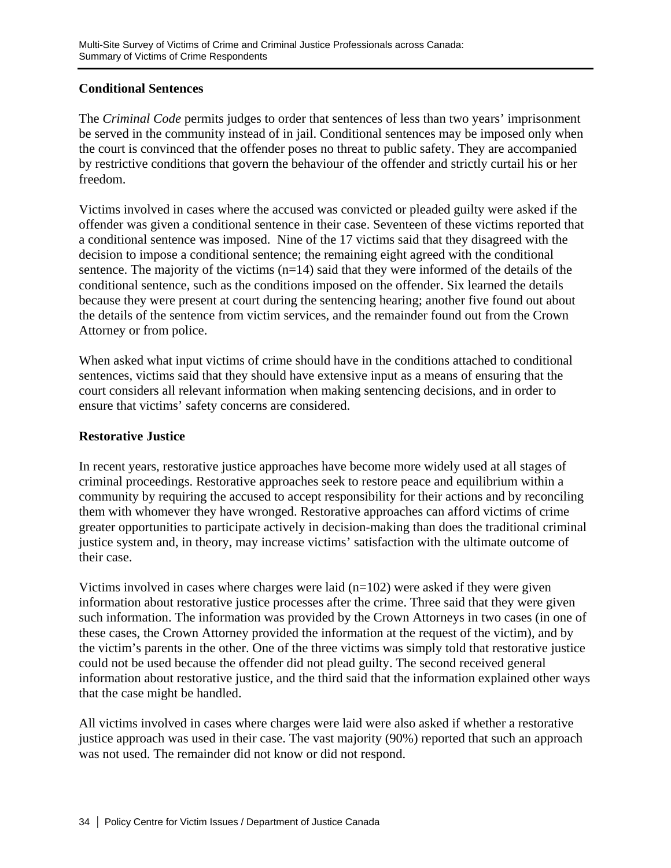# **Conditional Sentences**

The *Criminal Code* permits judges to order that sentences of less than two years' imprisonment be served in the community instead of in jail. Conditional sentences may be imposed only when the court is convinced that the offender poses no threat to public safety. They are accompanied by restrictive conditions that govern the behaviour of the offender and strictly curtail his or her freedom.

Victims involved in cases where the accused was convicted or pleaded guilty were asked if the offender was given a conditional sentence in their case. Seventeen of these victims reported that a conditional sentence was imposed. Nine of the 17 victims said that they disagreed with the decision to impose a conditional sentence; the remaining eight agreed with the conditional sentence. The majority of the victims  $(n=14)$  said that they were informed of the details of the conditional sentence, such as the conditions imposed on the offender. Six learned the details because they were present at court during the sentencing hearing; another five found out about the details of the sentence from victim services, and the remainder found out from the Crown Attorney or from police.

When asked what input victims of crime should have in the conditions attached to conditional sentences, victims said that they should have extensive input as a means of ensuring that the court considers all relevant information when making sentencing decisions, and in order to ensure that victims' safety concerns are considered.

### **Restorative Justice**

In recent years, restorative justice approaches have become more widely used at all stages of criminal proceedings. Restorative approaches seek to restore peace and equilibrium within a community by requiring the accused to accept responsibility for their actions and by reconciling them with whomever they have wronged. Restorative approaches can afford victims of crime greater opportunities to participate actively in decision-making than does the traditional criminal justice system and, in theory, may increase victims' satisfaction with the ultimate outcome of their case.

Victims involved in cases where charges were laid  $(n=102)$  were asked if they were given information about restorative justice processes after the crime. Three said that they were given such information. The information was provided by the Crown Attorneys in two cases (in one of these cases, the Crown Attorney provided the information at the request of the victim), and by the victim's parents in the other. One of the three victims was simply told that restorative justice could not be used because the offender did not plead guilty. The second received general information about restorative justice, and the third said that the information explained other ways that the case might be handled.

All victims involved in cases where charges were laid were also asked if whether a restorative justice approach was used in their case. The vast majority (90%) reported that such an approach was not used. The remainder did not know or did not respond.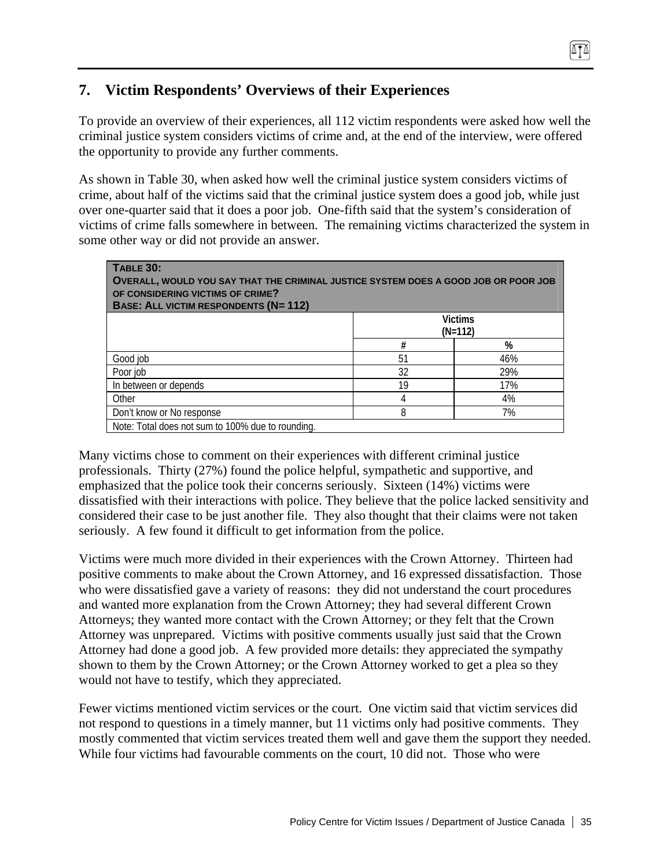# **7. Victim Respondents' Overviews of their Experiences**

To provide an overview of their experiences, all 112 victim respondents were asked how well the criminal justice system considers victims of crime and, at the end of the interview, were offered the opportunity to provide any further comments.

As shown in Table 30, when asked how well the criminal justice system considers victims of crime, about half of the victims said that the criminal justice system does a good job, while just over one-quarter said that it does a poor job. One-fifth said that the system's consideration of victims of crime falls somewhere in between. The remaining victims characterized the system in some other way or did not provide an answer.

| <b>TABLE 30:</b><br>OVERALL, WOULD YOU SAY THAT THE CRIMINAL JUSTICE SYSTEM DOES A GOOD JOB OR POOR JOB<br>OF CONSIDERING VICTIMS OF CRIME?<br><b>BASE: ALL VICTIM RESPONDENTS (N= 112)</b> |    |                             |  |
|---------------------------------------------------------------------------------------------------------------------------------------------------------------------------------------------|----|-----------------------------|--|
|                                                                                                                                                                                             |    | <b>Victims</b><br>$(N=112)$ |  |
|                                                                                                                                                                                             | #  | %                           |  |
| Good job                                                                                                                                                                                    | 51 | 46%                         |  |
| Poor job                                                                                                                                                                                    | 32 | 29%                         |  |
| In between or depends                                                                                                                                                                       | 19 | 17%                         |  |
| Other                                                                                                                                                                                       | 4  | 4%                          |  |
| Don't know or No response                                                                                                                                                                   | 8  | 7%                          |  |
| Note: Total does not sum to 100% due to rounding.                                                                                                                                           |    |                             |  |

Many victims chose to comment on their experiences with different criminal justice professionals. Thirty (27%) found the police helpful, sympathetic and supportive, and emphasized that the police took their concerns seriously. Sixteen (14%) victims were dissatisfied with their interactions with police. They believe that the police lacked sensitivity and considered their case to be just another file. They also thought that their claims were not taken seriously. A few found it difficult to get information from the police.

Victims were much more divided in their experiences with the Crown Attorney. Thirteen had positive comments to make about the Crown Attorney, and 16 expressed dissatisfaction. Those who were dissatisfied gave a variety of reasons: they did not understand the court procedures and wanted more explanation from the Crown Attorney; they had several different Crown Attorneys; they wanted more contact with the Crown Attorney; or they felt that the Crown Attorney was unprepared. Victims with positive comments usually just said that the Crown Attorney had done a good job. A few provided more details: they appreciated the sympathy shown to them by the Crown Attorney; or the Crown Attorney worked to get a plea so they would not have to testify, which they appreciated.

Fewer victims mentioned victim services or the court. One victim said that victim services did not respond to questions in a timely manner, but 11 victims only had positive comments. They mostly commented that victim services treated them well and gave them the support they needed. While four victims had favourable comments on the court, 10 did not. Those who were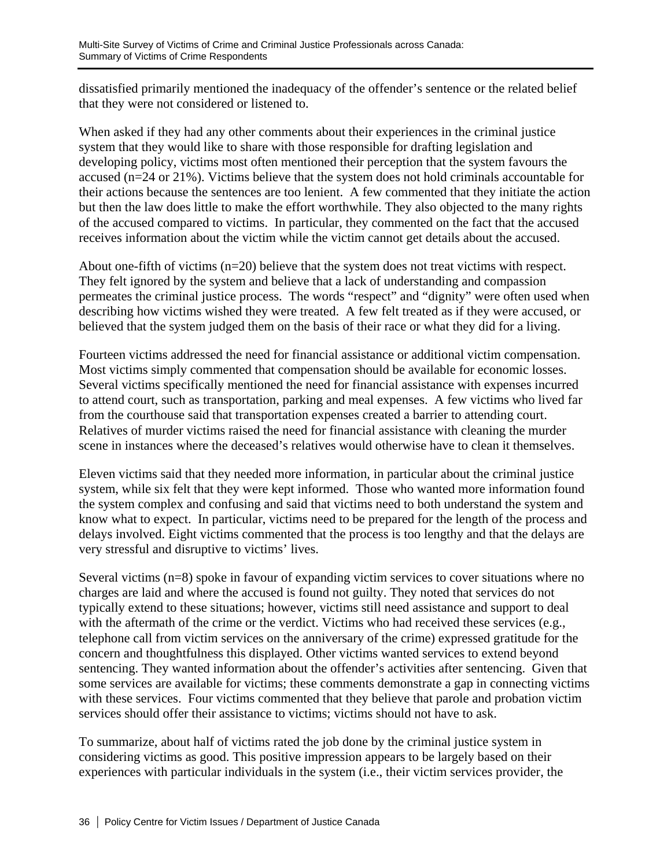dissatisfied primarily mentioned the inadequacy of the offender's sentence or the related belief that they were not considered or listened to.

When asked if they had any other comments about their experiences in the criminal justice system that they would like to share with those responsible for drafting legislation and developing policy, victims most often mentioned their perception that the system favours the accused (n=24 or 21%). Victims believe that the system does not hold criminals accountable for their actions because the sentences are too lenient. A few commented that they initiate the action but then the law does little to make the effort worthwhile. They also objected to the many rights of the accused compared to victims. In particular, they commented on the fact that the accused receives information about the victim while the victim cannot get details about the accused.

About one-fifth of victims (n=20) believe that the system does not treat victims with respect. They felt ignored by the system and believe that a lack of understanding and compassion permeates the criminal justice process. The words "respect" and "dignity" were often used when describing how victims wished they were treated. A few felt treated as if they were accused, or believed that the system judged them on the basis of their race or what they did for a living.

Fourteen victims addressed the need for financial assistance or additional victim compensation. Most victims simply commented that compensation should be available for economic losses. Several victims specifically mentioned the need for financial assistance with expenses incurred to attend court, such as transportation, parking and meal expenses. A few victims who lived far from the courthouse said that transportation expenses created a barrier to attending court. Relatives of murder victims raised the need for financial assistance with cleaning the murder scene in instances where the deceased's relatives would otherwise have to clean it themselves.

Eleven victims said that they needed more information, in particular about the criminal justice system, while six felt that they were kept informed. Those who wanted more information found the system complex and confusing and said that victims need to both understand the system and know what to expect. In particular, victims need to be prepared for the length of the process and delays involved. Eight victims commented that the process is too lengthy and that the delays are very stressful and disruptive to victims' lives.

Several victims (n=8) spoke in favour of expanding victim services to cover situations where no charges are laid and where the accused is found not guilty. They noted that services do not typically extend to these situations; however, victims still need assistance and support to deal with the aftermath of the crime or the verdict. Victims who had received these services (e.g., telephone call from victim services on the anniversary of the crime) expressed gratitude for the concern and thoughtfulness this displayed. Other victims wanted services to extend beyond sentencing. They wanted information about the offender's activities after sentencing. Given that some services are available for victims; these comments demonstrate a gap in connecting victims with these services. Four victims commented that they believe that parole and probation victim services should offer their assistance to victims; victims should not have to ask.

To summarize, about half of victims rated the job done by the criminal justice system in considering victims as good. This positive impression appears to be largely based on their experiences with particular individuals in the system (i.e., their victim services provider, the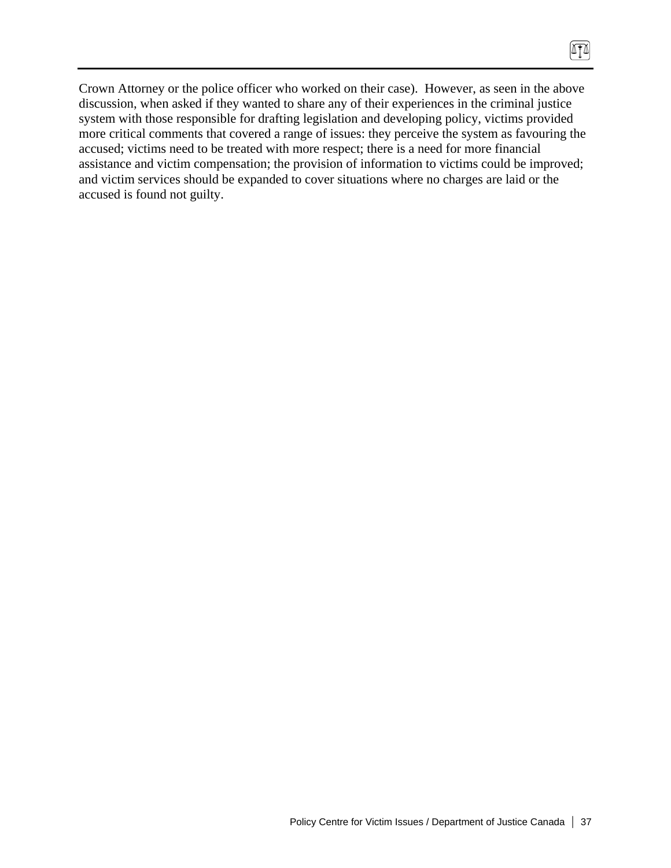Crown Attorney or the police officer who worked on their case). However, as seen in the above discussion, when asked if they wanted to share any of their experiences in the criminal justice system with those responsible for drafting legislation and developing policy, victims provided more critical comments that covered a range of issues: they perceive the system as favouring the accused; victims need to be treated with more respect; there is a need for more financial assistance and victim compensation; the provision of information to victims could be improved; and victim services should be expanded to cover situations where no charges are laid or the accused is found not guilty.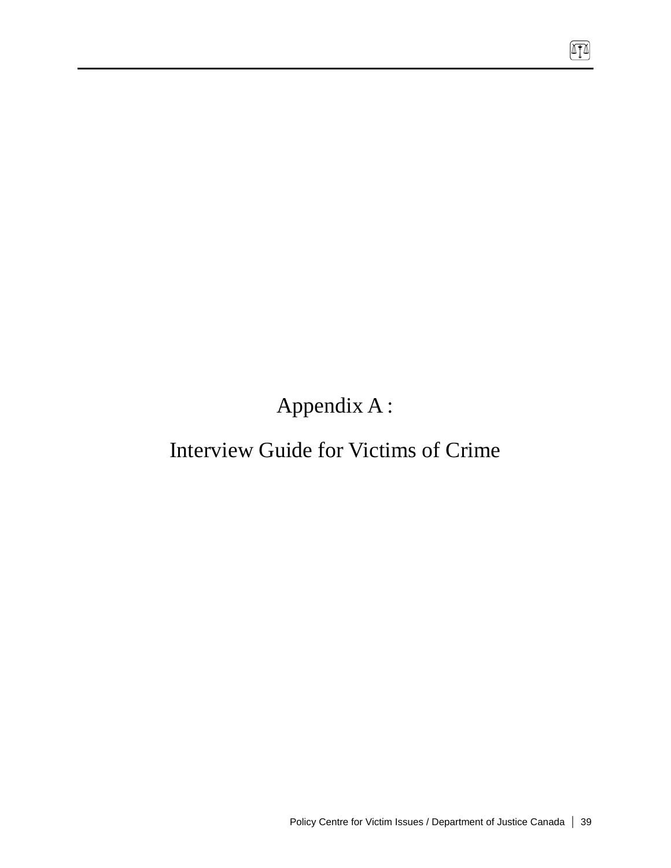Appendix A :

# Interview Guide for Victims of Crime

 $\boxed{1}$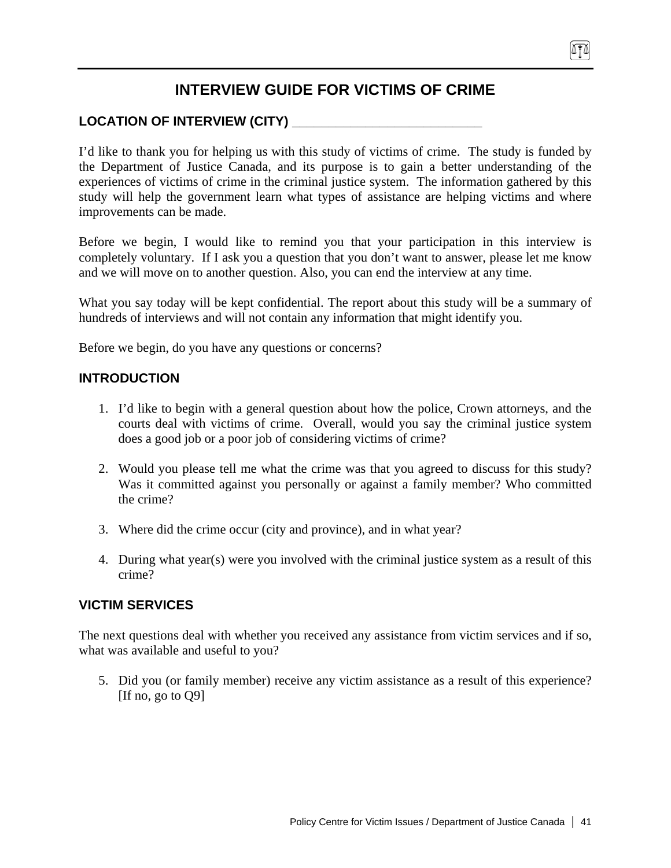# **INTERVIEW GUIDE FOR VICTIMS OF CRIME**

# LOCATION OF INTERVIEW (CITY)

I'd like to thank you for helping us with this study of victims of crime. The study is funded by the Department of Justice Canada, and its purpose is to gain a better understanding of the experiences of victims of crime in the criminal justice system. The information gathered by this study will help the government learn what types of assistance are helping victims and where improvements can be made.

Before we begin, I would like to remind you that your participation in this interview is completely voluntary. If I ask you a question that you don't want to answer, please let me know and we will move on to another question. Also, you can end the interview at any time.

What you say today will be kept confidential. The report about this study will be a summary of hundreds of interviews and will not contain any information that might identify you.

Before we begin, do you have any questions or concerns?

### **INTRODUCTION**

- 1. I'd like to begin with a general question about how the police, Crown attorneys, and the courts deal with victims of crime. Overall, would you say the criminal justice system does a good job or a poor job of considering victims of crime?
- 2. Would you please tell me what the crime was that you agreed to discuss for this study? Was it committed against you personally or against a family member? Who committed the crime?
- 3. Where did the crime occur (city and province), and in what year?
- 4. During what year(s) were you involved with the criminal justice system as a result of this crime?

### **VICTIM SERVICES**

The next questions deal with whether you received any assistance from victim services and if so, what was available and useful to you?

5. Did you (or family member) receive any victim assistance as a result of this experience? [If no, go to Q9]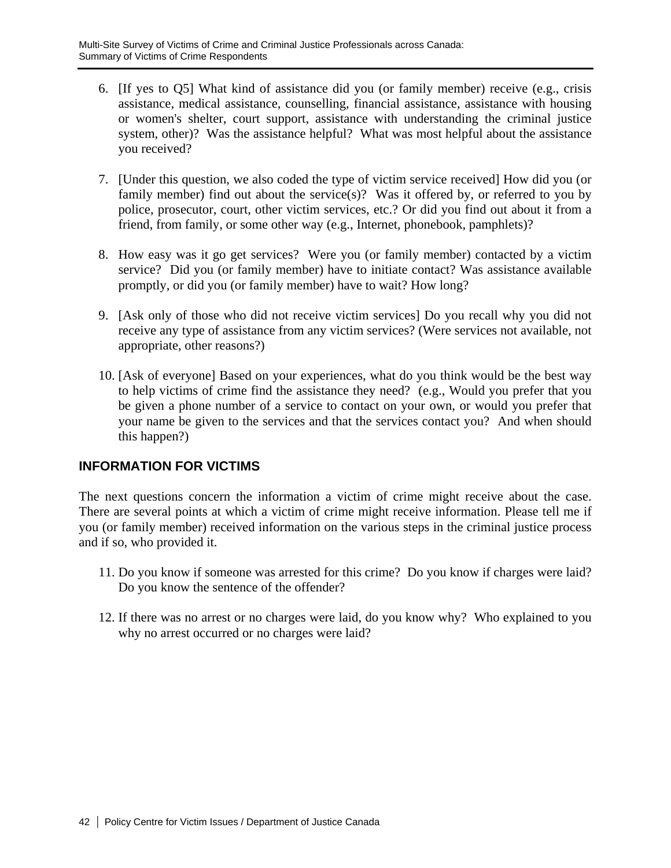- 6. [If yes to Q5] What kind of assistance did you (or family member) receive (e.g., crisis assistance, medical assistance, counselling, financial assistance, assistance with housing or women's shelter, court support, assistance with understanding the criminal justice system, other)? Was the assistance helpful? What was most helpful about the assistance you received?
- 7. [Under this question, we also coded the type of victim service received] How did you (or family member) find out about the service(s)? Was it offered by, or referred to you by police, prosecutor, court, other victim services, etc.? Or did you find out about it from a friend, from family, or some other way (e.g., Internet, phonebook, pamphlets)?
- 8. How easy was it go get services? Were you (or family member) contacted by a victim service? Did you (or family member) have to initiate contact? Was assistance available promptly, or did you (or family member) have to wait? How long?
- 9. [Ask only of those who did not receive victim services] Do you recall why you did not receive any type of assistance from any victim services? (Were services not available, not appropriate, other reasons?)
- 10. [Ask of everyone] Based on your experiences, what do you think would be the best way to help victims of crime find the assistance they need? (e.g., Would you prefer that you be given a phone number of a service to contact on your own, or would you prefer that your name be given to the services and that the services contact you? And when should this happen?)

# **INFORMATION FOR VICTIMS**

The next questions concern the information a victim of crime might receive about the case. There are several points at which a victim of crime might receive information. Please tell me if you (or family member) received information on the various steps in the criminal justice process and if so, who provided it.

- 11. Do you know if someone was arrested for this crime? Do you know if charges were laid? Do you know the sentence of the offender?
- 12. If there was no arrest or no charges were laid, do you know why? Who explained to you why no arrest occurred or no charges were laid?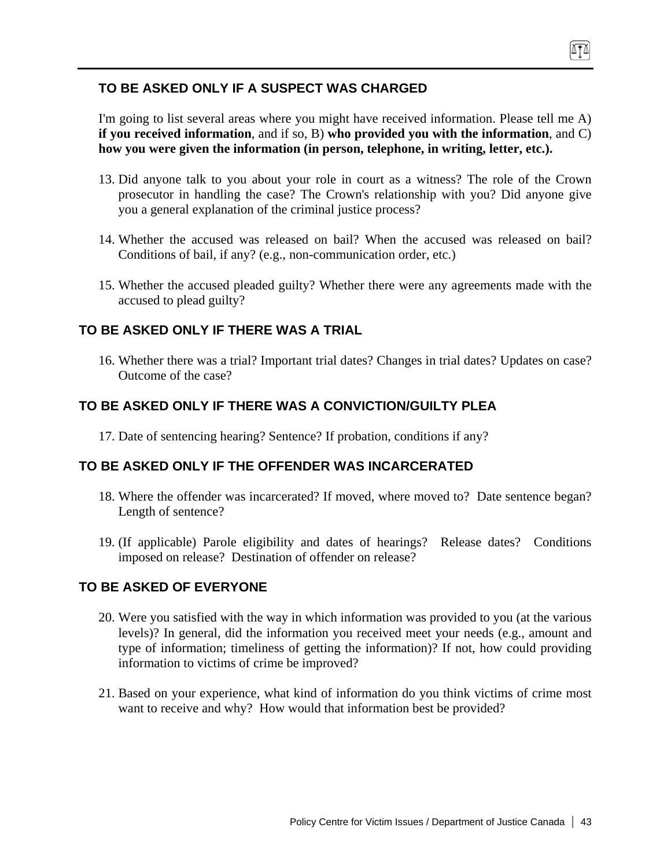# **TO BE ASKED ONLY IF A SUSPECT WAS CHARGED**

I'm going to list several areas where you might have received information. Please tell me A) **if you received information**, and if so, B) **who provided you with the information**, and C) **how you were given the information (in person, telephone, in writing, letter, etc.).**

- 13. Did anyone talk to you about your role in court as a witness? The role of the Crown prosecutor in handling the case? The Crown's relationship with you? Did anyone give you a general explanation of the criminal justice process?
- 14. Whether the accused was released on bail? When the accused was released on bail? Conditions of bail, if any? (e.g., non-communication order, etc.)
- 15. Whether the accused pleaded guilty? Whether there were any agreements made with the accused to plead guilty?

# **TO BE ASKED ONLY IF THERE WAS A TRIAL**

16. Whether there was a trial? Important trial dates? Changes in trial dates? Updates on case? Outcome of the case?

# **TO BE ASKED ONLY IF THERE WAS A CONVICTION/GUILTY PLEA**

17. Date of sentencing hearing? Sentence? If probation, conditions if any?

# **TO BE ASKED ONLY IF THE OFFENDER WAS INCARCERATED**

- 18. Where the offender was incarcerated? If moved, where moved to? Date sentence began? Length of sentence?
- 19. (If applicable) Parole eligibility and dates of hearings? Release dates? Conditions imposed on release? Destination of offender on release?

# **TO BE ASKED OF EVERYONE**

- 20. Were you satisfied with the way in which information was provided to you (at the various levels)? In general, did the information you received meet your needs (e.g., amount and type of information; timeliness of getting the information)? If not, how could providing information to victims of crime be improved?
- 21. Based on your experience, what kind of information do you think victims of crime most want to receive and why? How would that information best be provided?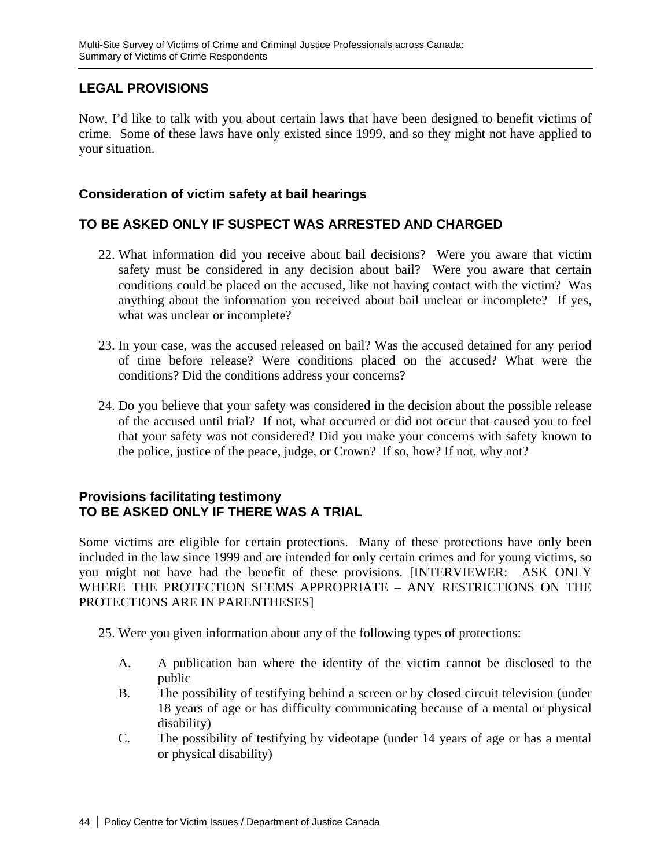# **LEGAL PROVISIONS**

Now, I'd like to talk with you about certain laws that have been designed to benefit victims of crime. Some of these laws have only existed since 1999, and so they might not have applied to your situation.

### **Consideration of victim safety at bail hearings**

# **TO BE ASKED ONLY IF SUSPECT WAS ARRESTED AND CHARGED**

- 22. What information did you receive about bail decisions? Were you aware that victim safety must be considered in any decision about bail? Were you aware that certain conditions could be placed on the accused, like not having contact with the victim? Was anything about the information you received about bail unclear or incomplete? If yes, what was unclear or incomplete?
- 23. In your case, was the accused released on bail? Was the accused detained for any period of time before release? Were conditions placed on the accused? What were the conditions? Did the conditions address your concerns?
- 24. Do you believe that your safety was considered in the decision about the possible release of the accused until trial? If not, what occurred or did not occur that caused you to feel that your safety was not considered? Did you make your concerns with safety known to the police, justice of the peace, judge, or Crown? If so, how? If not, why not?

### **Provisions facilitating testimony TO BE ASKED ONLY IF THERE WAS A TRIAL**

Some victims are eligible for certain protections. Many of these protections have only been included in the law since 1999 and are intended for only certain crimes and for young victims, so you might not have had the benefit of these provisions. [INTERVIEWER: ASK ONLY WHERE THE PROTECTION SEEMS APPROPRIATE – ANY RESTRICTIONS ON THE PROTECTIONS ARE IN PARENTHESES]

25. Were you given information about any of the following types of protections:

- A. A publication ban where the identity of the victim cannot be disclosed to the public
- B. The possibility of testifying behind a screen or by closed circuit television (under 18 years of age or has difficulty communicating because of a mental or physical disability)
- C. The possibility of testifying by videotape (under 14 years of age or has a mental or physical disability)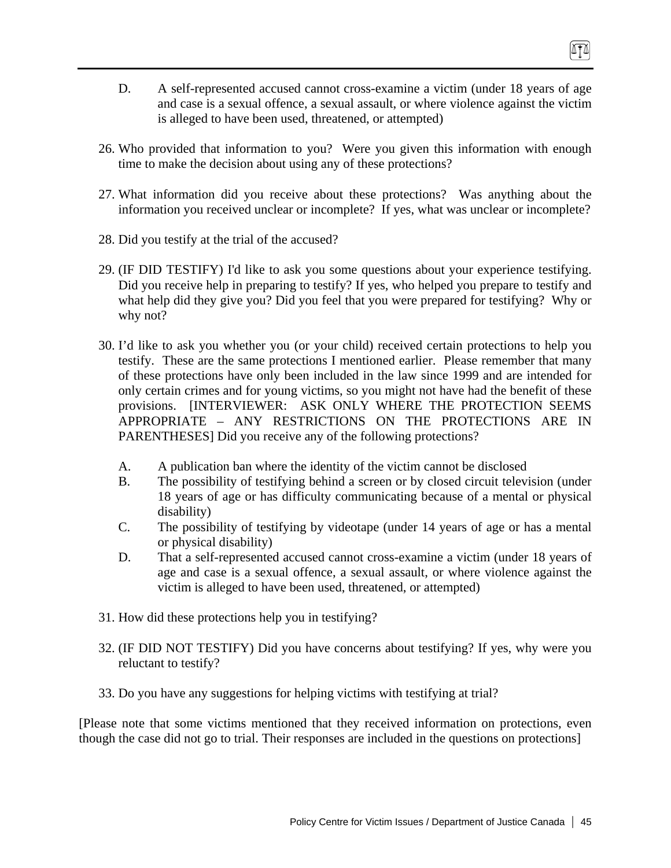- 26. Who provided that information to you? Were you given this information with enough time to make the decision about using any of these protections?
- 27. What information did you receive about these protections? Was anything about the information you received unclear or incomplete? If yes, what was unclear or incomplete?
- 28. Did you testify at the trial of the accused?
- 29. (IF DID TESTIFY) I'd like to ask you some questions about your experience testifying. Did you receive help in preparing to testify? If yes, who helped you prepare to testify and what help did they give you? Did you feel that you were prepared for testifying? Why or why not?
- 30. I'd like to ask you whether you (or your child) received certain protections to help you testify. These are the same protections I mentioned earlier. Please remember that many of these protections have only been included in the law since 1999 and are intended for only certain crimes and for young victims, so you might not have had the benefit of these provisions. [INTERVIEWER: ASK ONLY WHERE THE PROTECTION SEEMS APPROPRIATE – ANY RESTRICTIONS ON THE PROTECTIONS ARE IN PARENTHESES] Did you receive any of the following protections?
	- A. A publication ban where the identity of the victim cannot be disclosed
	- B. The possibility of testifying behind a screen or by closed circuit television (under 18 years of age or has difficulty communicating because of a mental or physical disability)
	- C. The possibility of testifying by videotape (under 14 years of age or has a mental or physical disability)
	- D. That a self-represented accused cannot cross-examine a victim (under 18 years of age and case is a sexual offence, a sexual assault, or where violence against the victim is alleged to have been used, threatened, or attempted)
- 31. How did these protections help you in testifying?
- 32. (IF DID NOT TESTIFY) Did you have concerns about testifying? If yes, why were you reluctant to testify?
- 33. Do you have any suggestions for helping victims with testifying at trial?

[Please note that some victims mentioned that they received information on protections, even though the case did not go to trial. Their responses are included in the questions on protections]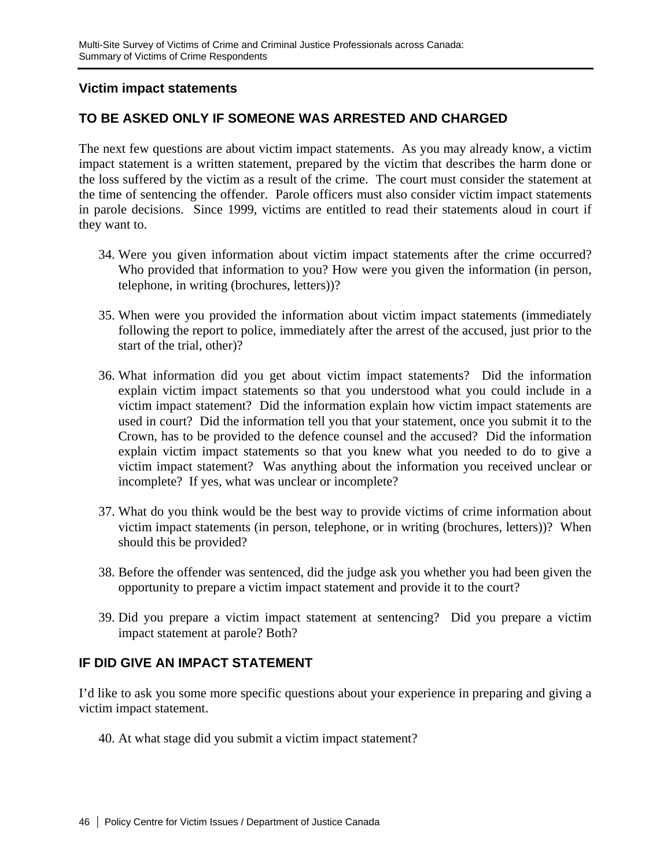### **Victim impact statements**

# **TO BE ASKED ONLY IF SOMEONE WAS ARRESTED AND CHARGED**

The next few questions are about victim impact statements. As you may already know, a victim impact statement is a written statement, prepared by the victim that describes the harm done or the loss suffered by the victim as a result of the crime. The court must consider the statement at the time of sentencing the offender. Parole officers must also consider victim impact statements in parole decisions. Since 1999, victims are entitled to read their statements aloud in court if they want to.

- 34. Were you given information about victim impact statements after the crime occurred? Who provided that information to you? How were you given the information (in person, telephone, in writing (brochures, letters))?
- 35. When were you provided the information about victim impact statements (immediately following the report to police, immediately after the arrest of the accused, just prior to the start of the trial, other)?
- 36. What information did you get about victim impact statements? Did the information explain victim impact statements so that you understood what you could include in a victim impact statement? Did the information explain how victim impact statements are used in court? Did the information tell you that your statement, once you submit it to the Crown, has to be provided to the defence counsel and the accused? Did the information explain victim impact statements so that you knew what you needed to do to give a victim impact statement? Was anything about the information you received unclear or incomplete? If yes, what was unclear or incomplete?
- 37. What do you think would be the best way to provide victims of crime information about victim impact statements (in person, telephone, or in writing (brochures, letters))? When should this be provided?
- 38. Before the offender was sentenced, did the judge ask you whether you had been given the opportunity to prepare a victim impact statement and provide it to the court?
- 39. Did you prepare a victim impact statement at sentencing? Did you prepare a victim impact statement at parole? Both?

# **IF DID GIVE AN IMPACT STATEMENT**

I'd like to ask you some more specific questions about your experience in preparing and giving a victim impact statement.

40. At what stage did you submit a victim impact statement?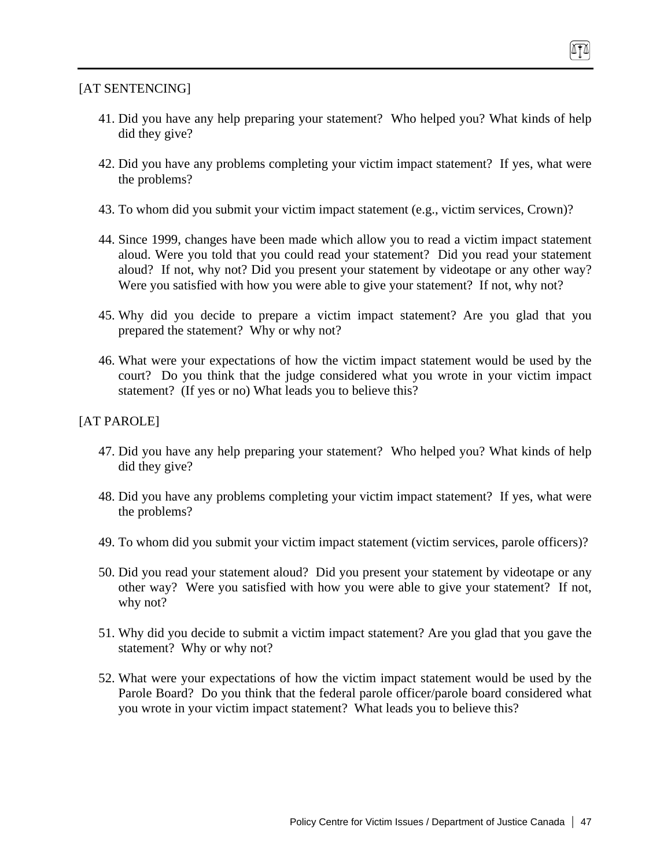### [AT SENTENCING]

- 41. Did you have any help preparing your statement? Who helped you? What kinds of help did they give?
- 42. Did you have any problems completing your victim impact statement? If yes, what were the problems?
- 43. To whom did you submit your victim impact statement (e.g., victim services, Crown)?
- 44. Since 1999, changes have been made which allow you to read a victim impact statement aloud. Were you told that you could read your statement? Did you read your statement aloud? If not, why not? Did you present your statement by videotape or any other way? Were you satisfied with how you were able to give your statement? If not, why not?
- 45. Why did you decide to prepare a victim impact statement? Are you glad that you prepared the statement? Why or why not?
- 46. What were your expectations of how the victim impact statement would be used by the court? Do you think that the judge considered what you wrote in your victim impact statement? (If yes or no) What leads you to believe this?

### [AT PAROLE]

- 47. Did you have any help preparing your statement? Who helped you? What kinds of help did they give?
- 48. Did you have any problems completing your victim impact statement? If yes, what were the problems?
- 49. To whom did you submit your victim impact statement (victim services, parole officers)?
- 50. Did you read your statement aloud? Did you present your statement by videotape or any other way? Were you satisfied with how you were able to give your statement? If not, why not?
- 51. Why did you decide to submit a victim impact statement? Are you glad that you gave the statement? Why or why not?
- 52. What were your expectations of how the victim impact statement would be used by the Parole Board? Do you think that the federal parole officer/parole board considered what you wrote in your victim impact statement? What leads you to believe this?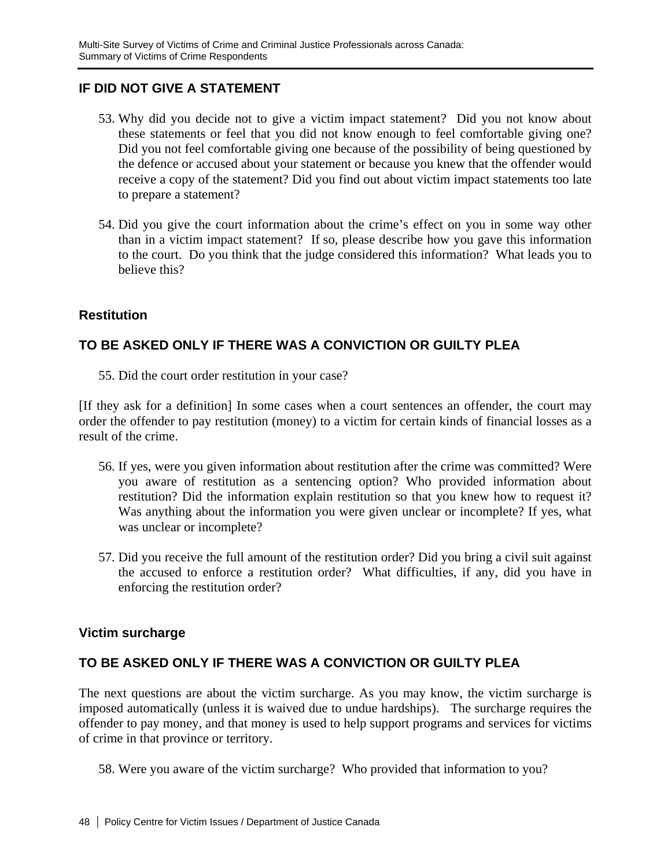# **IF DID NOT GIVE A STATEMENT**

- 53. Why did you decide not to give a victim impact statement? Did you not know about these statements or feel that you did not know enough to feel comfortable giving one? Did you not feel comfortable giving one because of the possibility of being questioned by the defence or accused about your statement or because you knew that the offender would receive a copy of the statement? Did you find out about victim impact statements too late to prepare a statement?
- 54. Did you give the court information about the crime's effect on you in some way other than in a victim impact statement? If so, please describe how you gave this information to the court. Do you think that the judge considered this information? What leads you to believe this?

# **Restitution**

# **TO BE ASKED ONLY IF THERE WAS A CONVICTION OR GUILTY PLEA**

55. Did the court order restitution in your case?

[If they ask for a definition] In some cases when a court sentences an offender, the court may order the offender to pay restitution (money) to a victim for certain kinds of financial losses as a result of the crime.

- 56. If yes, were you given information about restitution after the crime was committed? Were you aware of restitution as a sentencing option? Who provided information about restitution? Did the information explain restitution so that you knew how to request it? Was anything about the information you were given unclear or incomplete? If yes, what was unclear or incomplete?
- 57. Did you receive the full amount of the restitution order? Did you bring a civil suit against the accused to enforce a restitution order? What difficulties, if any, did you have in enforcing the restitution order?

# **Victim surcharge**

# **TO BE ASKED ONLY IF THERE WAS A CONVICTION OR GUILTY PLEA**

The next questions are about the victim surcharge. As you may know, the victim surcharge is imposed automatically (unless it is waived due to undue hardships). The surcharge requires the offender to pay money, and that money is used to help support programs and services for victims of crime in that province or territory.

58. Were you aware of the victim surcharge? Who provided that information to you?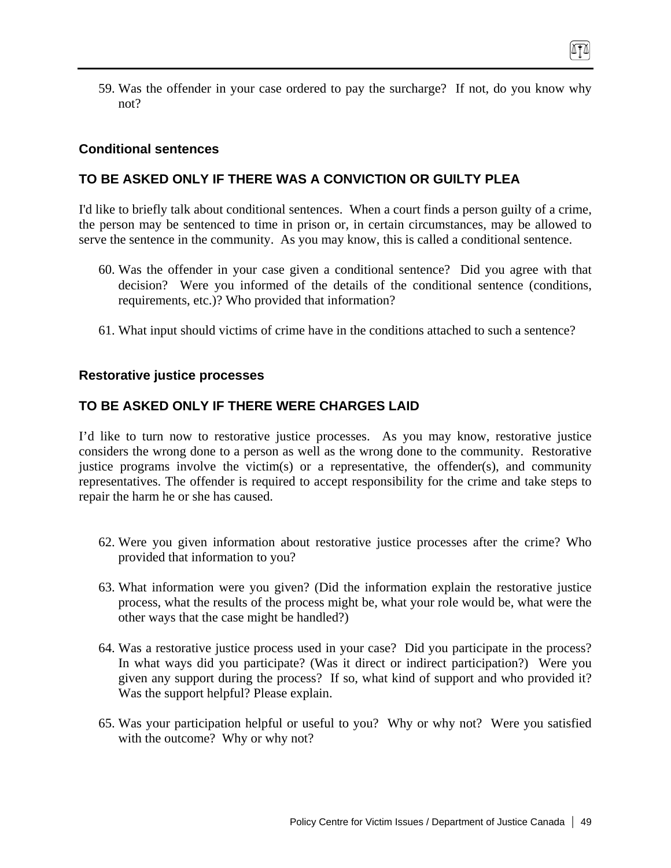59. Was the offender in your case ordered to pay the surcharge? If not, do you know why not?

### **Conditional sentences**

### **TO BE ASKED ONLY IF THERE WAS A CONVICTION OR GUILTY PLEA**

I'd like to briefly talk about conditional sentences. When a court finds a person guilty of a crime, the person may be sentenced to time in prison or, in certain circumstances, may be allowed to serve the sentence in the community. As you may know, this is called a conditional sentence.

- 60. Was the offender in your case given a conditional sentence? Did you agree with that decision? Were you informed of the details of the conditional sentence (conditions, requirements, etc.)? Who provided that information?
- 61. What input should victims of crime have in the conditions attached to such a sentence?

#### **Restorative justice processes**

### **TO BE ASKED ONLY IF THERE WERE CHARGES LAID**

I'd like to turn now to restorative justice processes. As you may know, restorative justice considers the wrong done to a person as well as the wrong done to the community. Restorative justice programs involve the victim(s) or a representative, the offender(s), and community representatives. The offender is required to accept responsibility for the crime and take steps to repair the harm he or she has caused.

- 62. Were you given information about restorative justice processes after the crime? Who provided that information to you?
- 63. What information were you given? (Did the information explain the restorative justice process, what the results of the process might be, what your role would be, what were the other ways that the case might be handled?)
- 64. Was a restorative justice process used in your case? Did you participate in the process? In what ways did you participate? (Was it direct or indirect participation?) Were you given any support during the process? If so, what kind of support and who provided it? Was the support helpful? Please explain.
- 65. Was your participation helpful or useful to you? Why or why not? Were you satisfied with the outcome? Why or why not?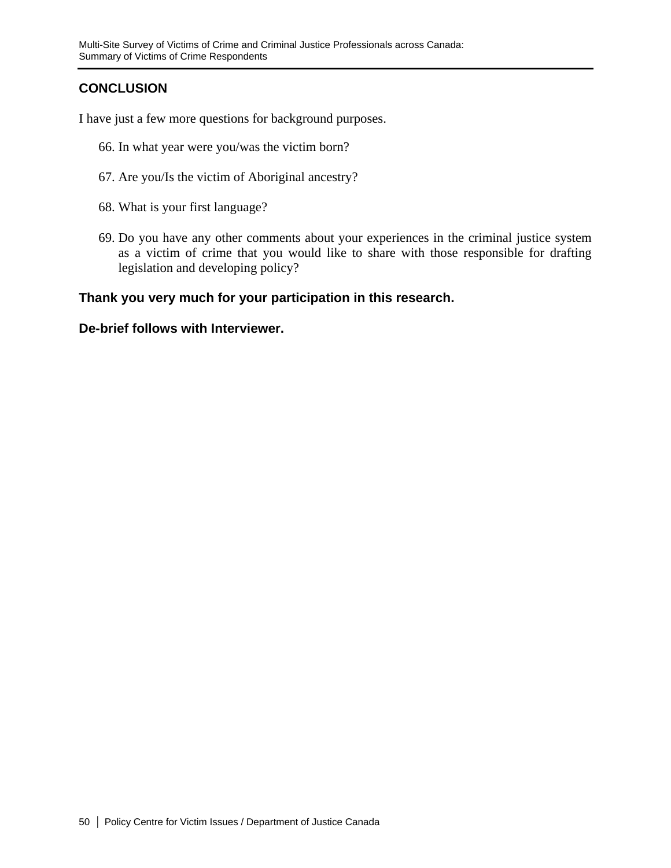# **CONCLUSION**

I have just a few more questions for background purposes.

- 66. In what year were you/was the victim born?
- 67. Are you/Is the victim of Aboriginal ancestry?
- 68. What is your first language?
- 69. Do you have any other comments about your experiences in the criminal justice system as a victim of crime that you would like to share with those responsible for drafting legislation and developing policy?

### **Thank you very much for your participation in this research.**

### **De-brief follows with Interviewer.**